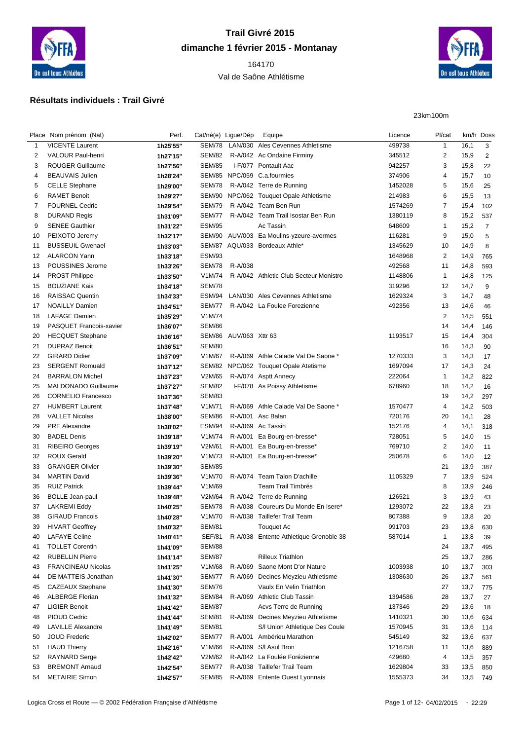

## **Trail Givré 2015 dimanche 1 février 2015 - Montanay**

 Val de Saône Athlétisme



## **Résultats individuels : Trail Givré**

23km100m

|    | Place Nom prénom (Nat)    | Perf.    | Cat/né(e) Ligue/Dép |                        | Equipe                                   | Licence | Pl/cat         |      | km/h Doss      |
|----|---------------------------|----------|---------------------|------------------------|------------------------------------------|---------|----------------|------|----------------|
| 1  | <b>VICENTE Laurent</b>    | 1h25'55" | SEM/78              |                        | LAN/030 Ales Cevennes Athletisme         | 499738  | $\mathbf{1}$   | 16,1 | 3              |
| 2  | <b>VALOUR Paul-henri</b>  | 1h27'15" | <b>SEM/82</b>       |                        | R-A/042 Ac Ondaine Firminy               | 345512  | $\overline{2}$ | 15,9 | $\overline{2}$ |
| 3  | <b>ROUGER Guillaume</b>   | 1h27'56" | <b>SEM/85</b>       |                        | I-F/077 Pontault Aac                     | 942257  | 3              | 15,8 | 22             |
| 4  | <b>BEAUVAIS Julien</b>    | 1h28'24" |                     |                        | SEM/85 NPC/059 C.a.fourmies              | 374906  | 4              | 15,7 | 10             |
| 5  | <b>CELLE Stephane</b>     | 1h29'00" | SEM/78              |                        | R-A/042 Terre de Running                 | 1452028 | 5              | 15,6 | 25             |
| 6  | <b>RAMET Benoit</b>       | 1h29'27" |                     |                        | SEM/90 NPC/062 Touquet Opale Athletisme  | 214983  | 6              | 15,5 | 13             |
| 7  | <b>FOURNEL Cedric</b>     | 1h29'54" | <b>SEM/79</b>       |                        | R-A/042 Team Ben Run                     | 1574269 | 7              | 15,4 | 102            |
| 8  | <b>DURAND Regis</b>       | 1h31'09" | <b>SEM/77</b>       |                        | R-A/042 Team Trail Isostar Ben Run       | 1380119 | 8              | 15,2 | 537            |
| 9  | <b>SENEE Gauthier</b>     | 1h31'22" | <b>ESM/95</b>       |                        | Ac Tassin                                | 648609  | $\mathbf{1}$   | 15,2 | $\overline{7}$ |
| 10 | PEIXOTO Jeremy            | 1h32'17" |                     |                        | SEM/90 AUV/003 Ea Moulins-yzeure-avermes | 116281  | 9              | 15,0 | 5              |
| 11 | <b>BUSSEUIL Gwenael</b>   | 1h33'03" |                     |                        | SEM/87 AQU/033 Bordeaux Athle*           | 1345629 | 10             | 14,9 | 8              |
| 12 | <b>ALARCON Yann</b>       | 1h33'18" | <b>ESM/93</b>       |                        |                                          | 1648968 | $\overline{2}$ | 14,9 | 765            |
| 13 | POUSSINES Jerome          | 1h33'26" | SEM/78              | R-A/038                |                                          | 492568  | 11             | 14,8 | 593            |
| 14 | <b>PROST Philippe</b>     | 1h33'50" | V1M/74              |                        | R-A/042 Athletic Club Secteur Monistro   | 1148806 | $\mathbf{1}$   | 14,8 | 125            |
| 15 | <b>BOUZIANE Kais</b>      | 1h34'18" | <b>SEM/78</b>       |                        |                                          | 319296  | 12             | 14,7 | 9              |
| 16 | <b>RAISSAC Quentin</b>    | 1h34'33" | ESM/94              |                        | LAN/030 Ales Cevennes Athletisme         | 1629324 | 3              | 14,7 | 48             |
| 17 | <b>NOAILLY Damien</b>     | 1h34'51" | <b>SEM/77</b>       |                        | R-A/042 La Foulee Forezienne             | 492356  | 13             | 14,6 | 46             |
| 18 | <b>LAFAGE Damien</b>      | 1h35'29" | V1M/74              |                        |                                          |         | $\overline{2}$ | 14,5 | 551            |
| 19 | PASQUET Francois-xavier   | 1h36'07" | <b>SEM/86</b>       |                        |                                          |         | 14             | 14,4 | 146            |
| 20 | <b>HECQUET Stephane</b>   | 1h36'16" |                     | SEM/86 AUV/063 Xttr 63 |                                          | 1193517 | 15             | 14,4 | 304            |
| 21 | <b>DUPRAZ Benoit</b>      |          | <b>SEM/80</b>       |                        |                                          |         | 16             | 14,3 | 90             |
| 22 | <b>GIRARD Didier</b>      | 1h36'51" | V1M/67              |                        | R-A/069 Athle Calade Val De Saone *      | 1270333 | 3              | 14,3 |                |
|    | <b>SERGENT Romuald</b>    | 1h37'09" |                     |                        |                                          | 1697094 |                |      | 17             |
| 23 |                           | 1h37'12" |                     |                        | SEM/82 NPC/062 Touquet Opale Atetisme    |         | 17             | 14,3 | 24             |
| 24 | <b>BARRALON Michel</b>    | 1h37'23" | V2M/65              |                        | R-A/074 Asptt Annecy                     | 222064  | $\mathbf{1}$   | 14,2 | 822            |
| 25 | MALDONADO Guillaume       | 1h37'27" | <b>SEM/82</b>       |                        | I-F/078 As Poissy Athletisme             | 678960  | 18             | 14,2 | 16             |
| 26 | <b>CORNELIO Francesco</b> | 1h37'36" | <b>SEM/83</b>       |                        |                                          |         | 19             | 14,2 | 297            |
| 27 | <b>HUMBERT Laurent</b>    | 1h37'48" | V1M/71              |                        | R-A/069 Athle Calade Val De Saone *      | 1570477 | 4              | 14,2 | 503            |
| 28 | <b>VALLET Nicolas</b>     | 1h38'00" | <b>SEM/86</b>       |                        | R-A/001 Asc Balan                        | 720176  | 20             | 14,1 | 28             |
| 29 | <b>PRE Alexandre</b>      | 1h38'02" | <b>ESM/94</b>       |                        | R-A/069 Ac Tassin                        | 152176  | 4              | 14,1 | 318            |
| 30 | <b>BADEL Denis</b>        | 1h39'18" | V1M/74              |                        | R-A/001 Ea Bourg-en-bresse*              | 728051  | 5              | 14,0 | 15             |
| 31 | <b>RIBEIRO Georges</b>    | 1h39'19" | V2M/61              |                        | R-A/001 Ea Bourg-en-bresse*              | 769710  | 2              | 14,0 | 11             |
| 32 | <b>ROUX Gerald</b>        | 1h39'20" | V1M/73              |                        | R-A/001 Ea Bourg-en-bresse*              | 250678  | 6              | 14,0 | 12             |
| 33 | <b>GRANGER Olivier</b>    | 1h39'30" | <b>SEM/85</b>       |                        |                                          |         | 21             | 13,9 | 387            |
| 34 | <b>MARTIN David</b>       | 1h39'36" | V1M/70              |                        | R-A/074 Team Talon D'achille             | 1105329 | $\overline{7}$ | 13,9 | 524            |
| 35 | <b>RUIZ Patrick</b>       | 1h39'44" | V1M/69              |                        | <b>Team Trail Timbrés</b>                |         | 8              | 13,9 | 246            |
| 36 | <b>BOLLE Jean-paul</b>    | 1h39'48" | V2M/64              |                        | R-A/042 Terre de Running                 | 126521  | 3              | 13,9 | 43             |
| 37 | <b>LAKREMI Eddy</b>       | 1h40'25" | <b>SEM/78</b>       |                        | R-A/038 Coureurs Du Monde En Isere*      | 1293072 | 22             | 13,8 | 23             |
| 38 | <b>GIRAUD Francois</b>    | 1h40'28" | V1M/70              |                        | R-A/038 Taillefer Trail Team             | 807388  | 9              | 13,8 | 20             |
| 39 | <b>HIVART Geoffrey</b>    | 1h40'32" | <b>SEM/81</b>       |                        | Touquet Ac                               | 991703  | 23             | 13,8 | 630            |
| 40 | <b>LAFAYE Celine</b>      | 1h40'41" | <b>SEF/81</b>       |                        | R-A/038 Entente Athletique Grenoble 38   | 587014  | $\mathbf{1}$   | 13,8 | 39             |
| 41 | <b>TOLLET Corentin</b>    | 1h41'09" | <b>SEM/88</b>       |                        |                                          |         | 24             | 13,7 | 495            |
| 42 | <b>RUBELLIN Pierre</b>    | 1h41'14" | <b>SEM/87</b>       |                        | <b>Rilleux Triathlon</b>                 |         | 25             | 13,7 | 286            |
| 43 | <b>FRANCINEAU Nicolas</b> | 1h41'25" | V1M/68              |                        | R-A/069 Saone Mont D'or Nature           | 1003938 | 10             | 13,7 | 303            |
| 44 | DE MATTEIS Jonathan       | 1h41'30" | <b>SEM/77</b>       |                        | R-A/069 Decines Meyzieu Athletisme       | 1308630 | 26             | 13,7 | 561            |
| 45 | CAZEAUX Stephane          | 1h41'30" | <b>SEM/76</b>       |                        | Vaulx En Velin Triathlon                 |         | 27             | 13,7 | 775            |
| 46 | <b>ALBERGE Florian</b>    | 1h41'32" | SEM/84              |                        | R-A/069 Athletic Club Tassin             | 1394586 | 28             | 13,7 | 27             |
| 47 | <b>LIGIER Benoit</b>      | 1h41'42" | <b>SEM/87</b>       |                        | Acvs Terre de Running                    | 137346  | 29             | 13,6 | 18             |
| 48 | <b>PIOUD Cedric</b>       | 1h41'44" | <b>SEM/81</b>       |                        | R-A/069 Decines Meyzieu Athletisme       | 1410321 | 30             | 13,6 | 634            |
| 49 | <b>LAVILLE Alexandre</b>  | 1h41'49" | <b>SEM/81</b>       |                        | S/I Union Athletique Des Coule           | 1570945 | 31             | 13,6 | 114            |
| 50 | <b>JOUD Frederic</b>      | 1h42'02" | <b>SEM/77</b>       |                        | R-A/001 Ambérieu Marathon                | 545149  | 32             | 13,6 | 637            |
| 51 | <b>HAUD Thierry</b>       | 1h42'16" | V1M/66              |                        | R-A/069 S/I Asul Bron                    | 1216758 | 11             | 13,6 | 889            |
| 52 | <b>RAYNARD Serge</b>      | 1h42'42" | V2M/62              |                        | R-A/042 La Foulée Forézienne             | 429680  | 4              | 13,5 | 357            |
| 53 | <b>BREMONT Arnaud</b>     | 1h42'54" | <b>SEM/77</b>       |                        | R-A/038 Taillefer Trail Team             | 1629804 | 33             | 13,5 | 850            |
| 54 | <b>METAIRIE Simon</b>     | 1h42'57" | <b>SEM/85</b>       |                        | R-A/069 Entente Ouest Lyonnais           | 1555373 | 34             | 13,5 | 749            |
|    |                           |          |                     |                        |                                          |         |                |      |                |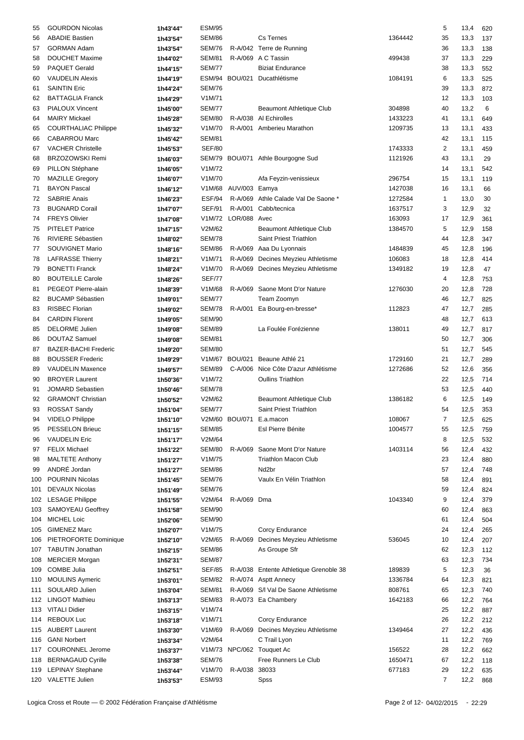| 55  | <b>GOURDON Nicolas</b>      | 1h43'44" | <b>ESM/95</b> |                      |                                        |         | 5              | 13,4 | 620 |
|-----|-----------------------------|----------|---------------|----------------------|----------------------------------------|---------|----------------|------|-----|
| 56  | <b>ABADIE Bastien</b>       | 1h43'54" | <b>SEM/86</b> |                      | Cs Ternes                              | 1364442 | 35             | 13,3 | 137 |
|     |                             |          |               |                      |                                        |         |                |      |     |
| 57  | <b>GORMAN Adam</b>          | 1h43'54" | <b>SEM/76</b> |                      | R-A/042 Terre de Running               |         | 36             | 13,3 | 138 |
| 58  | <b>DOUCHET Maxime</b>       | 1h44'02" | <b>SEM/81</b> |                      | R-A/069 A C Tassin                     | 499438  | 37             | 13,3 | 229 |
| 59  | PAQUET Gerald               | 1h44'15" | <b>SEM/77</b> |                      | <b>Biziat Endurance</b>                |         | 38             | 13,3 | 552 |
| 60  | <b>VAUDELIN Alexis</b>      | 1h44'19" |               |                      | ESM/94 BOU/021 Ducathlétisme           | 1084191 | 6              | 13,3 | 525 |
| 61  | <b>SAINTIN Eric</b>         | 1h44'24" | <b>SEM/76</b> |                      |                                        |         | 39             | 13,3 | 872 |
| 62  | <b>BATTAGLIA Franck</b>     |          | V1M/71        |                      |                                        |         | 12             | 13,3 | 103 |
|     |                             | 1h44'29" |               |                      |                                        |         |                |      |     |
| 63  | <b>PIALOUX Vincent</b>      | 1h45'00" | <b>SEM/77</b> |                      | Beaumont Athletique Club               | 304898  | 40             | 13,2 | 6   |
| 64  | <b>MAIRY Mickael</b>        | 1h45'28" | <b>SEM/80</b> |                      | R-A/038 Al Echirolles                  | 1433223 | 41             | 13,1 | 649 |
| 65  | <b>COURTHALIAC Philippe</b> | 1h45'32" | V1M/70        |                      | R-A/001 Amberieu Marathon              | 1209735 | 13             | 13,1 | 433 |
| 66  | <b>CABARROU Marc</b>        | 1h45'42" | <b>SEM/81</b> |                      |                                        |         | 42             | 13,1 | 115 |
| 67  | <b>VACHER Christelle</b>    |          | <b>SEF/80</b> |                      |                                        | 1743333 | $\overline{2}$ | 13,1 | 459 |
|     |                             | 1h45'53" |               |                      |                                        |         |                |      |     |
| 68  | <b>BRZOZOWSKI Remi</b>      | 1h46'03" |               |                      | SEM/79 BOU/071 Athle Bourgogne Sud     | 1121926 | 43             | 13,1 | 29  |
| 69  | PILLON Stéphane             | 1h46'05" | V1M/72        |                      |                                        |         | 14             | 13,1 | 542 |
| 70  | <b>MAZILLE Gregory</b>      | 1h46'07" | V1M/70        |                      | Afa Feyzin-venissieux                  | 296754  | 15             | 13,1 | 119 |
| 71  | <b>BAYON Pascal</b>         | 1h46'12" |               | V1M/68 AUV/003 Eamya |                                        | 1427038 | 16             | 13,1 | 66  |
| 72  | <b>SABRIE Anais</b>         | 1h46'23" | ESF/94        |                      | R-A/069 Athle Calade Val De Saone *    | 1272584 | $\mathbf{1}$   | 13,0 | 30  |
| 73  | <b>BUGNARD Corail</b>       |          | <b>SEF/91</b> |                      | R-A/001 Cabb/tecnica                   | 1637517 | 3              | 12,9 | 32  |
|     |                             | 1h47'07" |               |                      |                                        |         |                |      |     |
| 74  | <b>FREYS Olivier</b>        | 1h47'08" |               | V1M/72 LOR/088 Avec  |                                        | 163093  | 17             | 12,9 | 361 |
| 75  | <b>PITELET Patrice</b>      | 1h47'15" | V2M/62        |                      | <b>Beaumont Athletique Club</b>        | 1384570 | 5              | 12,9 | 158 |
| 76  | <b>RIVIERE Sébastien</b>    | 1h48'02" | <b>SEM/78</b> |                      | Saint Priest Triathlon                 |         | 44             | 12,8 | 347 |
| 77  | SOUVIGNET Mario             | 1h48'16" | <b>SEM/86</b> |                      | R-A/069 Aaa Du Lyonnais                | 1484839 | 45             | 12,8 | 196 |
| 78  | <b>LAFRASSE Thierry</b>     | 1h48'21" | V1M/71        |                      | R-A/069 Decines Meyzieu Athletisme     | 106083  | 18             | 12,8 | 414 |
|     |                             |          |               |                      |                                        |         |                |      |     |
| 79  | <b>BONETTI Franck</b>       | 1h48'24" | V1M/70        |                      | R-A/069 Decines Meyzieu Athletisme     | 1349182 | 19             | 12,8 | 47  |
| 80  | <b>BOUTEILLE Carole</b>     | 1h48'26" | <b>SEF/77</b> |                      |                                        |         | 4              | 12,8 | 753 |
| 81  | PEGEOT Pierre-alain         | 1h48'39" | V1M/68        |                      | R-A/069 Saone Mont D'or Nature         | 1276030 | 20             | 12,8 | 728 |
| 82  | <b>BUCAMP Sébastien</b>     | 1h49'01" | <b>SEM/77</b> |                      | Team Zoomyn                            |         | 46             | 12,7 | 825 |
| 83  | <b>RISBEC Florian</b>       | 1h49'02" | <b>SEM/78</b> |                      | R-A/001 Ea Bourg-en-bresse*            | 112823  | 47             | 12,7 | 285 |
| 84  | <b>CARDIN Florent</b>       | 1h49'05" | <b>SEM/90</b> |                      |                                        |         | 48             | 12,7 | 613 |
|     |                             |          |               |                      |                                        |         |                |      |     |
| 85  | <b>DELORME Julien</b>       | 1h49'08" | <b>SEM/89</b> |                      | La Foulée Forézienne                   | 138011  | 49             | 12,7 | 817 |
| 86  | <b>DOUTAZ Samuel</b>        | 1h49'08" | <b>SEM/81</b> |                      |                                        |         | 50             | 12,7 | 306 |
| 87  | <b>BAZER-BACHI Frederic</b> | 1h49'20" | <b>SEM/80</b> |                      |                                        |         | 51             | 12,7 | 545 |
| 88  | <b>BOUSSER Frederic</b>     | 1h49'29" | V1M/67        |                      | BOU/021 Beaune Athlé 21                | 1729160 | 21             | 12,7 | 289 |
| 89  | <b>VAUDELIN Maxence</b>     | 1h49'57" | <b>SEM/89</b> |                      | C-A/006 Nice Côte D'azur Athlétisme    | 1272686 | 52             | 12,6 | 356 |
|     |                             |          |               |                      |                                        |         |                |      |     |
| 90  | <b>BROYER Laurent</b>       | 1h50'36" | V1M/72        |                      | <b>Oullins Triathlon</b>               |         | 22             | 12,5 | 714 |
| 91  | <b>JOMARD Sebastien</b>     | 1h50'46" | <b>SEM/78</b> |                      |                                        |         | 53             | 12,5 | 440 |
| 92  | <b>GRAMONT Christian</b>    | 1h50'52" | V2M/62        |                      | Beaumont Athletique Club               | 1386182 | 6              | 12,5 | 149 |
| 93  | <b>ROSSAT Sandy</b>         | 1h51'04" | <b>SEM/77</b> |                      | Saint Priest Triathlon                 |         | 54             | 12,5 | 353 |
| 94  | VIDELO Philippe             | 1h51'10" |               |                      | V2M/60 BOU/071 E.a.macon               | 108067  | $\overline{7}$ | 12,5 | 625 |
|     |                             |          |               |                      |                                        |         |                |      |     |
| 95  | PESSELON Brieuc             | 1h51'15" | <b>SEM/85</b> |                      | Esl Pierre Bénite                      | 1004577 | 55             | 12,5 | 759 |
| 96  | <b>VAUDELIN Eric</b>        | 1h51'17" | V2M/64        |                      |                                        |         | 8              | 12,5 | 532 |
| 97  | <b>FELIX Michael</b>        | 1h51'22" | <b>SEM/80</b> |                      | R-A/069 Saone Mont D'or Nature         | 1403114 | 56             | 12,4 | 432 |
| 98  | <b>MALTETE Anthony</b>      | 1h51'27" | V1M/75        |                      | <b>Triathlon Macon Club</b>            |         | 23             | 12,4 | 880 |
| 99  | ANDRÉ Jordan                | 1h51'27" | <b>SEM/86</b> |                      | Nd <sub>2</sub> br                     |         | 57             | 12,4 | 748 |
| 100 | <b>POURNIN Nicolas</b>      |          | <b>SEM/76</b> |                      | Vaulx En Vélin Triathlon               |         | 58             | 12,4 | 891 |
|     |                             | 1h51'45" |               |                      |                                        |         |                |      |     |
| 101 | <b>DEVAUX Nicolas</b>       | 1h51'49" | <b>SEM/76</b> |                      |                                        |         | 59             | 12,4 | 824 |
|     | 102 LESAGE Philippe         | 1h51'55" | V2M/64        | R-A/069 Dma          |                                        | 1043340 | 9              | 12,4 | 379 |
| 103 | <b>SAMOYEAU Geoffrey</b>    | 1h51'58" | <b>SEM/90</b> |                      |                                        |         | 60             | 12,4 | 863 |
| 104 | <b>MICHEL Loic</b>          | 1h52'06" | <b>SEM/90</b> |                      |                                        |         | 61             | 12,4 | 504 |
| 105 | <b>GIMENEZ Marc</b>         | 1h52'07" | V1M/75        |                      | Corcy Endurance                        |         | 24             | 12,4 | 265 |
|     |                             |          |               |                      |                                        |         |                |      |     |
|     | 106 PIETROFORTE Dominique   | 1h52'10" | V2M/65        |                      | R-A/069 Decines Meyzieu Athletisme     | 536045  | 10             | 12,4 | 207 |
| 107 | <b>TABUTIN Jonathan</b>     | 1h52'15" | <b>SEM/86</b> |                      | As Groupe Sfr                          |         | 62             | 12,3 | 112 |
| 108 | <b>MERCIER Morgan</b>       | 1h52'31" | <b>SEM/87</b> |                      |                                        |         | 63             | 12,3 | 734 |
| 109 | <b>COMBE Julia</b>          | 1h52'51" | <b>SEF/85</b> |                      | R-A/038 Entente Athletique Grenoble 38 | 189839  | 5              | 12,3 | 36  |
| 110 | MOULINS Aymeric             | 1h53'01" | <b>SEM/82</b> |                      | R-A/074 Asptt Annecy                   | 1336784 | 64             | 12,3 | 821 |
| 111 | SOULARD Julien              | 1h53'04" | SEM/81        |                      | R-A/069 S/I Val De Saone Athletisme    | 808761  | 65             | 12,3 | 740 |
|     |                             |          |               |                      |                                        |         |                |      |     |
|     | 112 LINGOT Mathieu          | 1h53'13" | <b>SEM/83</b> |                      | R-A/073 Ea Chambery                    | 1642183 | 66             | 12,2 | 764 |
|     | 113 VITALI Didier           | 1h53'15" | V1M/74        |                      |                                        |         | 25             | 12,2 | 887 |
| 114 | <b>REBOUX Luc</b>           | 1h53'18" | V1M/71        |                      | Corcy Endurance                        |         | 26             | 12,2 | 212 |
|     | 115 AUBERT Laurent          | 1h53'30" | V1M/69        |                      | R-A/069 Decines Meyzieu Athletisme     | 1349464 | 27             | 12,2 | 436 |
|     | 116 GANI Norbert            | 1h53'34" | V2M/64        |                      | C Trail Lyon                           |         | 11             | 12,2 | 769 |
|     |                             |          |               |                      |                                        |         |                |      |     |
| 117 | <b>COURONNEL Jerome</b>     | 1h53'37" |               |                      | V1M/73 NPC/062 Touquet Ac              | 156522  | 28             | 12,2 | 662 |
|     | 118 BERNAGAUD Cyrille       | 1h53'38" | <b>SEM/76</b> |                      | Free Runners Le Club                   | 1650471 | 67             | 12,2 | 118 |
|     | 119 LEPINAY Stephane        | 1h53'44" | V1M/70        | R-A/038 38033        |                                        | 677183  | 29             | 12,2 | 635 |
|     | 120 VALETTE Julien          | 1h53'53" | <b>ESM/93</b> |                      | Spss                                   |         | 7              | 12,2 | 868 |
|     |                             |          |               |                      |                                        |         |                |      |     |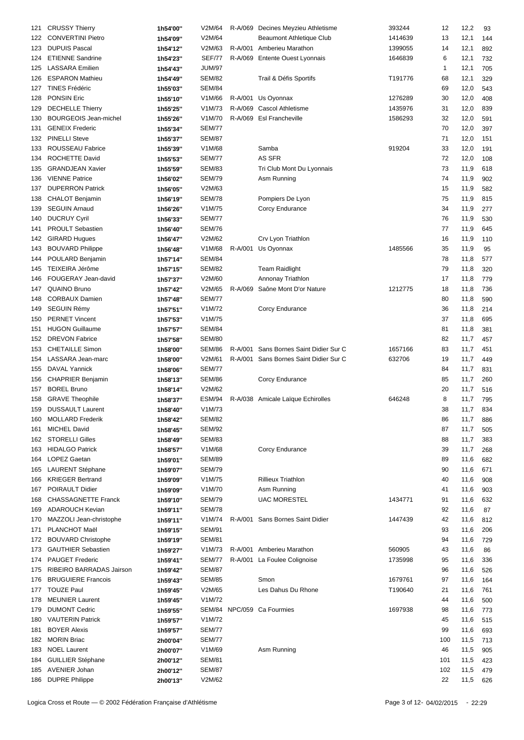| 121 | <b>CRUSSY Thierry</b>        | 1h54'00" | V2M/64        | R-A/069 | Decines Meyzieu Athletisme             | 393244  | 12  | 12,2 | 93  |
|-----|------------------------------|----------|---------------|---------|----------------------------------------|---------|-----|------|-----|
|     | 122 CONVERTINI Pietro        | 1h54'09" | V2M/64        |         | <b>Beaumont Athletique Club</b>        | 1414639 | 13  | 12,1 | 144 |
|     |                              |          |               |         |                                        |         |     |      |     |
| 123 | <b>DUPUIS Pascal</b>         | 1h54'12" | V2M/63        |         | R-A/001 Amberieu Marathon              | 1399055 | 14  | 12,1 | 892 |
| 124 | <b>ETIENNE Sandrine</b>      | 1h54'23" | <b>SEF/77</b> |         | R-A/069 Entente Ouest Lyonnais         | 1646839 | 6   | 12,1 | 732 |
| 125 | <b>LASSARA</b> Emilien       | 1h54'43" | <b>JUM/97</b> |         |                                        |         | 1   | 12,1 | 705 |
| 126 | <b>ESPARON Mathieu</b>       | 1h54'49" | <b>SEM/82</b> |         | Trail & Défis Sportifs                 | T191776 | 68  | 12,1 | 329 |
| 127 | <b>TINES Frédéric</b>        | 1h55'03" | <b>SEM/84</b> |         |                                        |         | 69  | 12,0 | 543 |
| 128 | <b>PONSIN Eric</b>           | 1h55'10" | V1M/66        |         | R-A/001 Us Oyonnax                     | 1276289 | 30  | 12,0 | 408 |
| 129 | <b>DECHELLE Thierry</b>      | 1h55'25" | V1M/73        |         | R-A/069 Cascol Athletisme              | 1435976 | 31  | 12,0 | 839 |
| 130 | <b>BOURGEOIS Jean-michel</b> | 1h55'26" | V1M/70        |         | R-A/069 Esl Francheville               | 1586293 | 32  | 12,0 | 591 |
| 131 | <b>GENEIX Frederic</b>       |          | <b>SEM/77</b> |         |                                        |         | 70  | 12,0 | 397 |
|     | <b>PINELLI Steve</b>         | 1h55'34" | <b>SEM/87</b> |         |                                        |         |     |      |     |
| 132 |                              | 1h55'37" |               |         |                                        |         | 71  | 12,0 | 151 |
| 133 | ROUSSEAU Fabrice             | 1h55'39" | V1M/68        |         | Samba                                  | 919204  | 33  | 12,0 | 191 |
| 134 | ROCHETTE David               | 1h55'53" | <b>SEM/77</b> |         | AS SFR                                 |         | 72  | 12,0 | 108 |
| 135 | <b>GRANDJEAN Xavier</b>      | 1h55'59" | <b>SEM/83</b> |         | Tri Club Mont Du Lyonnais              |         | 73  | 11,9 | 618 |
| 136 | <b>VIENNE Patrice</b>        | 1h56'02" | <b>SEM/79</b> |         | Asm Running                            |         | 74  | 11,9 | 902 |
| 137 | <b>DUPERRON Patrick</b>      | 1h56'05" | V2M/63        |         |                                        |         | 15  | 11,9 | 582 |
| 138 | <b>CHALOT Benjamin</b>       | 1h56'19" | <b>SEM/78</b> |         | Pompiers De Lyon                       |         | 75  | 11,9 | 815 |
| 139 | <b>SEGUIN Arnaud</b>         | 1h56'26" | V1M/75        |         | Corcy Endurance                        |         | 34  | 11,9 | 277 |
| 140 | <b>DUCRUY Cyril</b>          | 1h56'33" | <b>SEM/77</b> |         |                                        |         | 76  | 11,9 | 530 |
|     |                              |          | <b>SEM/76</b> |         |                                        |         |     |      |     |
| 141 | <b>PROULT Sebastien</b>      | 1h56'40" |               |         |                                        |         | 77  | 11,9 | 645 |
| 142 | <b>GIRARD Hugues</b>         | 1h56'47" | V2M/62        |         | Crv Lyon Triathlon                     |         | 16  | 11,9 | 110 |
| 143 | <b>BOUVARD Philippe</b>      | 1h56'48" | V1M/68        |         | R-A/001 Us Oyonnax                     | 1485566 | 35  | 11,9 | 95  |
| 144 | POULARD Benjamin             | 1h57'14" | <b>SEM/84</b> |         |                                        |         | 78  | 11,8 | 577 |
| 145 | TEIXEIRA Jérôme              | 1h57'15" | <b>SEM/82</b> |         | <b>Team Raidlight</b>                  |         | 79  | 11,8 | 320 |
| 146 | FOUGERAY Jean-david          | 1h57'37" | V2M/60        |         | Annonay Triathlon                      |         | 17  | 11,8 | 779 |
| 147 | <b>QUAINO Bruno</b>          | 1h57'42" | V2M/65        | R-A/069 | Saône Mont D'or Nature                 | 1212775 | 18  | 11,8 | 736 |
| 148 | <b>CORBAUX Damien</b>        | 1h57'48" | <b>SEM/77</b> |         |                                        |         | 80  | 11,8 | 590 |
| 149 | <b>SEGUIN Rémy</b>           | 1h57'51" | V1M/72        |         | Corcy Endurance                        |         | 36  | 11,8 | 214 |
| 150 | <b>PERNET Vincent</b>        |          | V1M/75        |         |                                        |         | 37  | 11,8 | 695 |
|     |                              | 1h57'53" |               |         |                                        |         |     |      |     |
| 151 | <b>HUGON Guillaume</b>       | 1h57'57" | <b>SEM/84</b> |         |                                        |         | 81  | 11,8 | 381 |
| 152 | <b>DREVON Fabrice</b>        | 1h57'58" | <b>SEM/80</b> |         |                                        |         | 82  | 11,7 | 457 |
| 153 | <b>CHETAILLE Simon</b>       | 1h58'00" | <b>SEM/86</b> |         | R-A/001 Sans Bornes Saint Didier Sur C | 1657166 | 83  | 11,7 | 451 |
| 154 | LASSARA Jean-marc            | 1h58'00" | V2M/61        |         | R-A/001 Sans Bornes Saint Didier Sur C | 632706  | 19  | 11,7 | 449 |
| 155 | DAVAL Yannick                | 1h58'06" | <b>SEM/77</b> |         |                                        |         | 84  | 11,7 | 831 |
| 156 | <b>CHAPRIER Benjamin</b>     | 1h58'13" | <b>SEM/86</b> |         | Corcy Endurance                        |         | 85  | 11,7 | 260 |
| 157 | <b>BOREL Bruno</b>           | 1h58'14" | V2M/62        |         |                                        |         | 20  | 11,7 | 516 |
| 158 | <b>GRAVE Theophile</b>       | 1h58'37" | <b>ESM/94</b> |         | R-A/038 Amicale Laïque Echirolles      | 646248  | 8   | 11,7 | 795 |
| 159 | <b>DUSSAULT Laurent</b>      | 1h58'40" | V1M/73        |         |                                        |         | 38  | 11,7 | 834 |
|     | 160 MOLLARD Frederik         |          |               |         |                                        |         |     |      |     |
|     |                              | 1h58'42" | <b>SEM/82</b> |         |                                        |         | 86  | 11,7 | 886 |
| 161 | <b>MICHEL David</b>          | 1h58'45" | <b>SEM/92</b> |         |                                        |         | 87  | 11,7 | 505 |
|     | 162 STORELLI Gilles          | 1h58'49" | <b>SEM/83</b> |         |                                        |         | 88  | 11,7 | 383 |
| 163 | <b>HIDALGO Patrick</b>       | 1h58'57" | V1M/68        |         | Corcy Endurance                        |         | 39  | 11,7 | 268 |
| 164 | LOPEZ Gaetan                 | 1h59'01" | <b>SEM/89</b> |         |                                        |         | 89  | 11,6 | 682 |
| 165 | LAURENT Stéphane             | 1h59'07" | <b>SEM/79</b> |         |                                        |         | 90  | 11,6 | 671 |
| 166 | <b>KRIEGER Bertrand</b>      | 1h59'09" | V1M/75        |         | <b>Rillieux Triathlon</b>              |         | 40  | 11,6 | 908 |
| 167 | POIRAULT Didier              | 1h59'09" | V1M/70        |         | Asm Running                            |         | 41  | 11,6 | 903 |
| 168 | CHASSAGNETTE Franck          | 1h59'10" | <b>SEM/79</b> |         | <b>UAC MORESTEL</b>                    | 1434771 | 91  | 11,6 | 632 |
| 169 | <b>ADAROUCH Kevian</b>       |          | <b>SEM/78</b> |         |                                        |         | 92  | 11,6 |     |
|     |                              | 1h59'11" |               |         |                                        |         |     |      | 87  |
| 170 | MAZZOLI Jean-christophe      | 1h59'11" | V1M/74        |         | R-A/001 Sans Bornes Saint Didier       | 1447439 | 42  | 11,6 | 812 |
| 171 | PLANCHOT Maël                | 1h59'15" | <b>SEM/91</b> |         |                                        |         | 93  | 11,6 | 206 |
|     | 172 BOUVARD Christophe       | 1h59'19" | <b>SEM/81</b> |         |                                        |         | 94  | 11,6 | 729 |
|     | 173 GAUTHIER Sebastien       | 1h59'27" | V1M/73        |         | R-A/001 Amberieu Marathon              | 560905  | 43  | 11,6 | 86  |
| 174 | <b>PAUGET Frederic</b>       | 1h59'41" | <b>SEM/77</b> |         | R-A/001 La Foulee Colignoise           | 1735998 | 95  | 11,6 | 336 |
| 175 | RIBEIRO BARRADAS Jairson     | 1h59'42" | <b>SEM/87</b> |         |                                        |         | 96  | 11,6 | 526 |
| 176 | <b>BRUGUIERE Francois</b>    | 1h59'43" | <b>SEM/85</b> |         | Smon                                   | 1679761 | 97  | 11,6 | 164 |
| 177 | <b>TOUZE Paul</b>            | 1h59'45" | V2M/65        |         | Les Dahus Du Rhone                     | T190640 | 21  | 11,6 | 761 |
|     | <b>MEUNIER Laurent</b>       |          | V1M/72        |         |                                        |         | 44  | 11,6 |     |
| 178 |                              | 1h59'45" |               |         |                                        |         |     |      | 500 |
| 179 | <b>DUMONT Cedric</b>         | 1h59'55" |               |         | SEM/84 NPC/059 Ca Fourmies             | 1697938 | 98  | 11,6 | 773 |
| 180 | <b>VAUTERIN Patrick</b>      | 1h59'57" | V1M/72        |         |                                        |         | 45  | 11,6 | 515 |
| 181 | <b>BOYER Alexis</b>          | 1h59'57" | <b>SEM/77</b> |         |                                        |         | 99  | 11,6 | 693 |
| 182 | <b>MORIN Briac</b>           | 2h00'04" | <b>SEM/77</b> |         |                                        |         | 100 | 11,5 | 713 |
| 183 | <b>NOEL Laurent</b>          | 2h00'07" | V1M/69        |         | Asm Running                            |         | 46  | 11,5 | 905 |
| 184 | <b>GUILLIER Stéphane</b>     | 2h00'12" | <b>SEM/81</b> |         |                                        |         | 101 | 11,5 | 423 |
| 185 | <b>AVENIER Johan</b>         | 2h00'12" | <b>SEM/87</b> |         |                                        |         | 102 | 11,5 | 479 |
|     | 186 DUPRE Philippe           | 2h00'13" | V2M/62        |         |                                        |         | 22  | 11,5 | 626 |
|     |                              |          |               |         |                                        |         |     |      |     |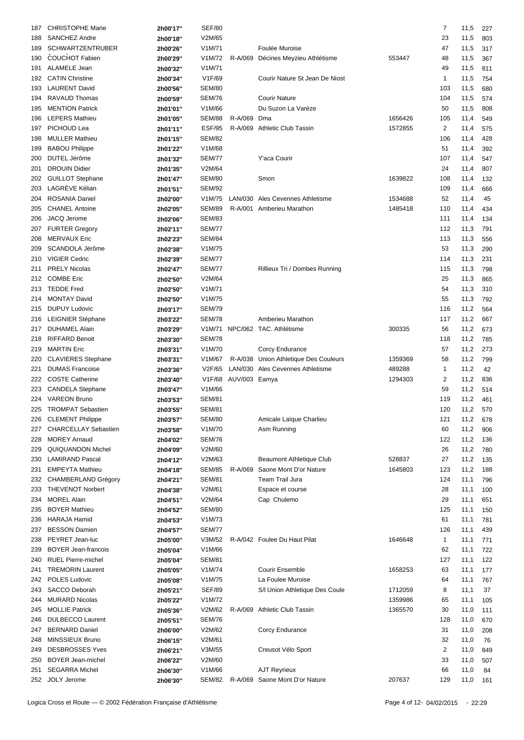| 187 | <b>CHRISTOPHE Marie</b>     | 2h00'17" | <b>SEF/80</b> |               |                                       |         | $\overline{7}$ | 11,5 | 227 |
|-----|-----------------------------|----------|---------------|---------------|---------------------------------------|---------|----------------|------|-----|
| 188 | <b>SANCHEZ Andre</b>        | 2h00'18" | V2M/65        |               |                                       |         | 23             | 11,5 | 803 |
| 189 | <b>SCHWARTZENTRUBER</b>     | 2h00'26" | V1M/71        |               | Foulée Muroise                        |         | 47             | 11,5 | 317 |
| 190 | <b>COUCHOT Fabien</b>       | 2h00'29" | V1M/72        | R-A/069       | Décines Meyzieu Athlétisme            | 553447  | 48             | 11,5 | 367 |
| 191 | <b>ALAMELE Jean</b>         | 2h00'32" | V1M/71        |               |                                       |         | 49             | 11,5 | 811 |
| 192 | <b>CATIN Christine</b>      | 2h00'34" | V1F/69        |               | Courir Nature St Jean De Niost        |         | 1              | 11,5 | 754 |
| 193 | <b>LAURENT David</b>        | 2h00'56" | <b>SEM/80</b> |               |                                       |         | 103            | 11,5 | 680 |
| 194 | <b>RAVAUD Thomas</b>        |          | <b>SEM/76</b> |               | <b>Courir Nature</b>                  |         | 104            |      | 574 |
|     |                             | 2h00'59" |               |               |                                       |         |                | 11,5 |     |
| 195 | <b>MENTION Patrick</b>      | 2h01'01" | V1M/66        |               | Du Suzon La Varèze                    |         | 50             | 11,5 | 808 |
| 196 | <b>LEPERS Mathieu</b>       | 2h01'05" | <b>SEM/88</b> | R-A/069       | Dma                                   | 1656426 | 105            | 11,4 | 549 |
| 197 | PICHOUD Lea                 | 2h01'11" | <b>ESF/95</b> |               | R-A/069 Athletic Club Tassin          | 1572855 | $\overline{2}$ | 11,4 | 575 |
| 198 | <b>MULLER Mathieu</b>       | 2h01'15" | <b>SEM/82</b> |               |                                       |         | 106            | 11,4 | 428 |
| 199 | <b>BABOU Philippe</b>       | 2h01'22" | V1M/68        |               |                                       |         | 51             | 11,4 | 392 |
| 200 | DUTEL Jérôme                | 2h01'32" | <b>SEM/77</b> |               | Y'aca Courir                          |         | 107            | 11,4 | 547 |
| 201 | <b>DROUIN Didier</b>        | 2h01'35" | V2M/64        |               |                                       |         | 24             | 11,4 | 807 |
| 202 | <b>GUILLOT Stephane</b>     | 2h01'47" | <b>SEM/80</b> |               | Smon                                  | 1639822 | 108            | 11,4 | 132 |
| 203 | LAGRÈVE Kélian              | 2h01'51" | <b>SEM/92</b> |               |                                       |         | 109            | 11,4 | 666 |
| 204 | <b>ROSANIA Daniel</b>       | 2h02'00" | V1M/75        |               | LAN/030 Ales Cevennes Athletisme      | 1534688 | 52             | 11,4 | 45  |
| 205 | <b>CHANEL Antoine</b>       | 2h02'05" | <b>SEM/89</b> |               | R-A/001 Amberieu Marathon             | 1485418 | 110            | 11,4 | 434 |
| 206 | JACQ Jerome                 | 2h02'06" | <b>SEM/83</b> |               |                                       |         | 111            | 11,4 | 134 |
| 207 | <b>FURTER Gregory</b>       | 2h02'11" | <b>SEM/77</b> |               |                                       |         | 112            | 11,3 | 791 |
| 208 | <b>MERVAUX Eric</b>         | 2h02'23" | <b>SEM/84</b> |               |                                       |         | 113            | 11,3 |     |
|     |                             |          |               |               |                                       |         |                |      | 556 |
| 209 | SCANDOLA Jérôme             | 2h02'38" | V1M/75        |               |                                       |         | 53             | 11,3 | 290 |
| 210 | <b>VIGIER Cedric</b>        | 2h02'39" | <b>SEM/77</b> |               |                                       |         | 114            | 11,3 | 231 |
| 211 | <b>PRELY Nicolas</b>        | 2h02'47" | <b>SEM/77</b> |               | Rillieux Tri / Dombes Running         |         | 115            | 11,3 | 798 |
| 212 | <b>COMBE Eric</b>           | 2h02'50" | V2M/64        |               |                                       |         | 25             | 11,3 | 865 |
| 213 | <b>TEDDE Fred</b>           | 2h02'50" | V1M/71        |               |                                       |         | 54             | 11,3 | 310 |
| 214 | <b>MONTAY David</b>         | 2h02'50" | V1M/75        |               |                                       |         | 55             | 11,3 | 792 |
| 215 | <b>DUPUY Ludovic</b>        | 2h03'17" | <b>SEM/79</b> |               |                                       |         | 116            | 11,2 | 564 |
| 216 | LEIGNIER Stéphane           | 2h03'22" | <b>SEM/78</b> |               | Amberieu Marathon                     |         | 117            | 11,2 | 667 |
| 217 | <b>DUHAMEL Alain</b>        | 2h03'29" |               |               | V1M/71 NPC/062 TAC. Athlétisme        | 300335  | 56             | 11,2 | 673 |
| 218 | <b>RIFFARD Benoit</b>       | 2h03'30" | <b>SEM/78</b> |               |                                       |         | 118            | 11,2 | 785 |
| 219 | <b>MARTIN Eric</b>          | 2h03'31" | V1M/70        |               | Corcy Endurance                       |         | 57             | 11,2 | 273 |
| 220 | <b>CLAVIERES</b> Stephane   | 2h03'31" | V1M/67        |               | R-A/038 Union Athletique Des Couleurs | 1359369 | 58             | 11,2 | 799 |
| 221 | <b>DUMAS Francoise</b>      | 2h03'36" | V2F/65        |               | LAN/030 Ales Cevennes Athletisme      | 489288  | 1              | 11,2 | 42  |
| 222 | <b>COSTE Catherine</b>      |          | V1F/68        | AUV/003 Eamya |                                       | 1294303 | 2              | 11,2 | 836 |
|     |                             | 2h03'40" | V1M/66        |               |                                       |         |                |      |     |
| 223 | <b>CANDELA Stephane</b>     | 2h03'47" |               |               |                                       |         | 59             | 11,2 | 514 |
| 224 | <b>VAREON Bruno</b>         | 2h03'53" | <b>SEM/81</b> |               |                                       |         | 119            | 11,2 | 461 |
|     | 225 TROMPAT Sebastien       | 2h03'55" | <b>SEM/81</b> |               |                                       |         | 120            | 11,2 | 570 |
|     | 226 CLEMENT Philippe        | 2h03'57" | <b>SEM/80</b> |               | Amicale Laïque Charlieu               |         | 121            | 11,2 | 678 |
| 227 | <b>CHARCELLAY Sebastien</b> | 2h03'58" | V1M/70        |               | Asm Running                           |         | 60             | 11,2 | 906 |
| 228 | <b>MOREY Arnaud</b>         | 2h04'02" | <b>SEM/76</b> |               |                                       |         | 122            | 11,2 | 136 |
| 229 | <b>QUIQUANDON Michel</b>    | 2h04'09" | V2M/60        |               |                                       |         | 26             | 11,2 | 780 |
| 230 | <b>LAMIRAND Pascal</b>      | 2h04'12" | V2M/63        |               | Beaumont Athletique Club              | 528837  | 27             | 11,2 | 135 |
| 231 | <b>EMPEYTA Mathieu</b>      | 2h04'18" | <b>SEM/85</b> | R-A/069       | Saone Mont D'or Nature                | 1645803 | 123            | 11,2 | 188 |
| 232 | CHAMBERLAND Grégory         | 2h04'21" | <b>SEM/81</b> |               | Team Trail Jura                       |         | 124            | 11,1 | 796 |
| 233 | <b>THEVENOT Norbert</b>     | 2h04'38" | V2M/61        |               | Espace et course                      |         | 28             | 11,1 | 100 |
| 234 | <b>MOREL Alain</b>          | 2h04'51" | V2M/64        |               | Cap Chulemo                           |         | 29             | 11,1 | 651 |
| 235 | <b>BOYER Mathieu</b>        | 2h04'52" | <b>SEM/80</b> |               |                                       |         | 125            | 11,1 | 150 |
| 236 | <b>HARAJA Hamid</b>         | 2h04'53" | V1M/73        |               |                                       |         | 61             | 11,1 | 781 |
| 237 | <b>BESSON Damien</b>        | 2h04'57" | <b>SEM/77</b> |               |                                       |         | 126            | 11,1 | 439 |
|     | PEYRET Jean-luc             |          | V3M/52        |               | R-A/042 Foulee Du Haut Pilat          | 1646648 | $\mathbf{1}$   |      |     |
| 238 |                             | 2h05'00" |               |               |                                       |         |                | 11,1 | 771 |
| 239 | <b>BOYER Jean-francois</b>  | 2h05'04" | V1M/66        |               |                                       |         | 62             | 11,1 | 722 |
| 240 | <b>RUEL Pierre-michel</b>   | 2h05'04" | <b>SEM/81</b> |               |                                       |         | 127            | 11,1 | 122 |
| 241 | <b>TREMORIN Laurent</b>     | 2h05'05" | V1M/74        |               | <b>Courir Ensemble</b>                | 1658253 | 63             | 11,1 | 177 |
| 242 | POLES Ludovic               | 2h05'08" | V1M/75        |               | La Foulee Muroise                     |         | 64             | 11,1 | 767 |
| 243 | SACCO Deborah               | 2h05'21" | <b>SEF/89</b> |               | S/I Union Athletique Des Coule        | 1712059 | 8              | 11,1 | 37  |
| 244 | <b>MURARD Nicolas</b>       | 2h05'22" | V1M/72        |               |                                       | 1359986 | 65             | 11,1 | 105 |
| 245 | <b>MOLLIE Patrick</b>       | 2h05'36" | V2M/62        | R-A/069       | <b>Athletic Club Tassin</b>           | 1365570 | 30             | 11,0 | 111 |
| 246 | <b>DULBECCO Laurent</b>     | 2h05'51" | <b>SEM/76</b> |               |                                       |         | 128            | 11,0 | 670 |
| 247 | <b>BERNARD Daniel</b>       | 2h06'00" | V2M/62        |               | Corcy Endurance                       |         | 31             | 11,0 | 208 |
| 248 | MINSSIEUX Bruno             | 2h06'15" | V2M/61        |               |                                       |         | 32             | 11,0 | 76  |
| 249 | <b>DESBROSSES Yves</b>      | 2h06'21" | V3M/55        |               | Creusot Vélo Sport                    |         | $\overline{c}$ | 11,0 | 849 |
| 250 | <b>BOYER Jean-michel</b>    | 2h06'22" | V2M/60        |               |                                       |         | 33             | 11,0 | 507 |
| 251 | <b>SEGARRA Michel</b>       | 2h06'30" | V1M/66        |               | <b>AJT Reyrieux</b>                   |         | 66             | 11,0 | 84  |
|     | 252 JOLY Jerome             |          | <b>SEM/82</b> |               | R-A/069 Saone Mont D'or Nature        | 207637  | 129            | 11,0 |     |
|     |                             | 2h06'30" |               |               |                                       |         |                |      | 161 |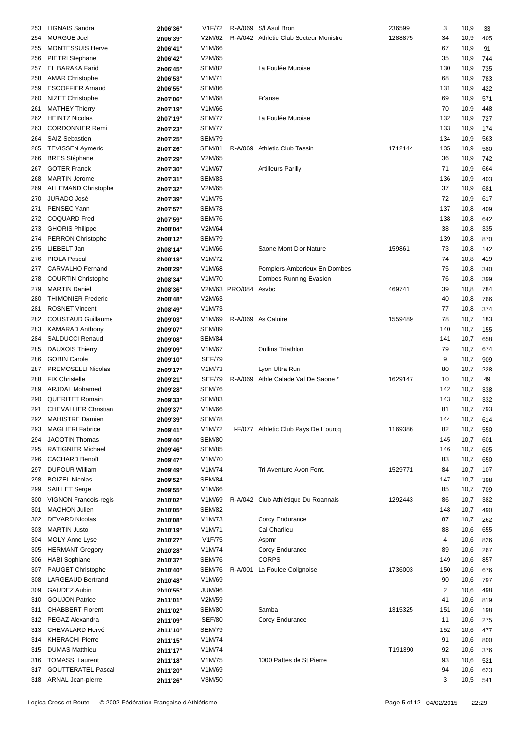| 253 | <b>LIGNAIS Sandra</b>        | 2h06'36" | V1F/72              |                      | R-A/069 S/I Asul Bron                  | 236599  | 3              | 10,9 | 33  |
|-----|------------------------------|----------|---------------------|----------------------|----------------------------------------|---------|----------------|------|-----|
| 254 | <b>MURGUE Joel</b>           | 2h06'39" | V2M/62              |                      | R-A/042 Athletic Club Secteur Monistro | 1288875 | 34             | 10,9 | 405 |
|     |                              |          |                     |                      |                                        |         |                |      |     |
| 255 | <b>MONTESSUIS Herve</b>      | 2h06'41" | V1M/66              |                      |                                        |         | 67             | 10,9 | 91  |
| 256 | <b>PIETRI</b> Stephane       | 2h06'42" | V2M/65              |                      |                                        |         | 35             | 10,9 | 744 |
| 257 | <b>EL BARAKA Farid</b>       | 2h06'45" | <b>SEM/82</b>       |                      | La Foulée Muroise                      |         | 130            | 10,9 | 735 |
| 258 | <b>AMAR Christophe</b>       | 2h06'53" | V <sub>1</sub> M/71 |                      |                                        |         | 68             | 10,9 | 783 |
| 259 | <b>ESCOFFIER Arnaud</b>      | 2h06'55" | <b>SEM/86</b>       |                      |                                        |         | 131            | 10,9 | 422 |
| 260 | <b>NIZET Christophe</b>      | 2h07'06" | V1M/68              |                      | Fr'anse                                |         | 69             | 10,9 | 571 |
| 261 | <b>MATHEY Thierry</b>        | 2h07'19" | V1M/66              |                      |                                        |         | 70             | 10,9 | 448 |
| 262 | <b>HEINTZ Nicolas</b>        | 2h07'19" | <b>SEM/77</b>       |                      | La Foulée Muroise                      |         | 132            | 10,9 | 727 |
| 263 | <b>CORDONNIER Remi</b>       |          | <b>SEM/77</b>       |                      |                                        |         | 133            | 10,9 | 174 |
|     |                              | 2h07'23" |                     |                      |                                        |         |                |      |     |
| 264 | <b>SAIZ Sebastien</b>        | 2h07'25" | <b>SEM/79</b>       |                      |                                        |         | 134            | 10,9 | 563 |
| 265 | <b>TEVISSEN Aymeric</b>      | 2h07'26" | <b>SEM/81</b>       |                      | R-A/069 Athletic Club Tassin           | 1712144 | 135            | 10,9 | 580 |
| 266 | <b>BRES Stéphane</b>         | 2h07'29" | V2M/65              |                      |                                        |         | 36             | 10,9 | 742 |
| 267 | <b>GOTER Franck</b>          | 2h07'30" | V1M/67              |                      | <b>Artilleurs Parilly</b>              |         | 71             | 10,9 | 664 |
| 268 | <b>MARTIN Jerome</b>         | 2h07'31" | <b>SEM/83</b>       |                      |                                        |         | 136            | 10,9 | 403 |
| 269 | <b>ALLEMAND Christophe</b>   | 2h07'32" | V2M/65              |                      |                                        |         | 37             | 10,9 | 681 |
| 270 | <b>JURADO José</b>           | 2h07'39" | V1M/75              |                      |                                        |         | 72             | 10,9 | 617 |
| 271 | PENSEC Yann                  | 2h07'57" | <b>SEM/78</b>       |                      |                                        |         | 137            | 10,8 | 409 |
| 272 | <b>COQUARD Fred</b>          | 2h07'59" | <b>SEM/76</b>       |                      |                                        |         | 138            | 10,8 | 642 |
|     | <b>GHORIS Philippe</b>       |          | V2M/64              |                      |                                        |         |                |      |     |
| 273 |                              | 2h08'04" |                     |                      |                                        |         | 38             | 10,8 | 335 |
| 274 | <b>PERRON Christophe</b>     | 2h08'12" | <b>SEM/79</b>       |                      |                                        |         | 139            | 10,8 | 870 |
| 275 | LIEBELT Jan                  | 2h08'14" | V1M/66              |                      | Saone Mont D'or Nature                 | 159861  | 73             | 10,8 | 142 |
| 276 | <b>PIOLA Pascal</b>          | 2h08'19" | V1M/72              |                      |                                        |         | 74             | 10,8 | 419 |
| 277 | <b>CARVALHO</b> Fernand      | 2h08'29" | V1M/68              |                      | Pompiers Amberieux En Dombes           |         | 75             | 10,8 | 340 |
| 278 | <b>COURTIN Christophe</b>    | 2h08'34" | V1M/70              |                      | Dombes Running Evasion                 |         | 76             | 10,8 | 399 |
| 279 | <b>MARTIN Daniel</b>         | 2h08'36" |                     | V2M/63 PRO/084 Asvbc |                                        | 469741  | 39             | 10,8 | 784 |
| 280 | <b>THIMONIER Frederic</b>    | 2h08'48" | V2M/63              |                      |                                        |         | 40             | 10,8 | 766 |
| 281 | <b>ROSNET Vincent</b>        | 2h08'49" | V1M/73              |                      |                                        |         | 77             | 10,8 | 374 |
| 282 | <b>COUSTAUD Guillaume</b>    | 2h09'03" | V1M/69              |                      | R-A/069 As Caluire                     | 1559489 | 78             | 10,7 | 183 |
|     |                              |          |                     |                      |                                        |         |                |      |     |
| 283 | <b>KAMARAD Anthony</b>       | 2h09'07" | <b>SEM/89</b>       |                      |                                        |         | 140            | 10,7 | 155 |
| 284 | <b>SALDUCCI Renaud</b>       | 2h09'08" | <b>SEM/84</b>       |                      |                                        |         | 141            | 10,7 | 658 |
| 285 | <b>DAUXOIS Thierry</b>       | 2h09'09" | V1M/67              |                      | <b>Oullins Triathlon</b>               |         | 79             | 10,7 | 674 |
| 286 | <b>GOBIN Carole</b>          | 2h09'10" | <b>SEF/79</b>       |                      |                                        |         | 9              | 10,7 | 909 |
| 287 | PREMOSELLI Nicolas           | 2h09'17" | V1M/73              |                      | Lyon Ultra Run                         |         | 80             | 10,7 | 228 |
| 288 | <b>FIX Christelle</b>        | 2h09'21" | <b>SEF/79</b>       |                      | R-A/069 Athle Calade Val De Saone *    | 1629147 | 10             | 10,7 | 49  |
| 289 | <b>ARJDAL Mohamed</b>        | 2h09'28" | <b>SEM/76</b>       |                      |                                        |         | 142            | 10,7 | 338 |
| 290 | <b>QUERITET Romain</b>       | 2h09'33" | <b>SEM/83</b>       |                      |                                        |         | 143            | 10,7 | 332 |
| 291 | <b>CHEVALLIER Christian</b>  | 2h09'37" | V1M/66              |                      |                                        |         | 81             | 10,7 | 793 |
|     | 292 MAHISTRE Damien          |          |                     |                      |                                        |         |                |      |     |
|     |                              | 2h09'39" | <b>SEM/78</b>       |                      |                                        |         | 144            | 10,7 | 614 |
| 293 | <b>MAGLIERI Fabrice</b>      | 2h09'41" | V1M/72              |                      | I-F/077 Athletic Club Pays De L'ourcq  | 1169386 | 82             | 10,7 | 550 |
| 294 | <b>JACOTIN Thomas</b>        | 2h09'46" | <b>SEM/80</b>       |                      |                                        |         | 145            | 10,7 | 601 |
| 295 | <b>RATIGNIER Michael</b>     | 2h09'46" | <b>SEM/85</b>       |                      |                                        |         | 146            | 10,7 | 605 |
| 296 | <b>CACHARD Benoît</b>        | 2h09'47" | V1M/70              |                      |                                        |         | 83             | 10,7 | 650 |
| 297 | <b>DUFOUR William</b>        | 2h09'49" | V1M/74              |                      | Tri Aventure Avon Font.                | 1529771 | 84             | 10,7 | 107 |
| 298 | <b>BOIZEL Nicolas</b>        | 2h09'52" | <b>SEM/84</b>       |                      |                                        |         | 147            | 10,7 | 398 |
| 299 | SAILLET Serge                | 2h09'55" | V1M/66              |                      |                                        |         | 85             | 10,7 | 709 |
| 300 | <b>VIGNON Francois-regis</b> | 2h10'02" | V1M/69              |                      | R-A/042 Club Athlétique Du Roannais    | 1292443 | 86             | 10,7 | 382 |
| 301 | <b>MACHON Julien</b>         |          | <b>SEM/82</b>       |                      |                                        |         | 148            | 10,7 |     |
|     |                              | 2h10'05" |                     |                      |                                        |         |                |      | 490 |
| 302 | <b>DEVARD Nicolas</b>        | 2h10'08" | V1M/73              |                      | Corcy Endurance                        |         | 87             | 10,7 | 262 |
| 303 | <b>MARTIN Justo</b>          | 2h10'19" | V1M/71              |                      | Cal Charlieu                           |         | 88             | 10,6 | 655 |
| 304 | <b>MOLY Anne Lyse</b>        | 2h10'27" | V1F/75              |                      | Aspmr                                  |         | 4              | 10,6 | 826 |
| 305 | <b>HERMANT Gregory</b>       | 2h10'28" | V1M/74              |                      | Corcy Endurance                        |         | 89             | 10,6 | 267 |
| 306 | <b>HABI Sophiane</b>         | 2h10'37" | <b>SEM/76</b>       |                      | <b>CORPS</b>                           |         | 149            | 10,6 | 857 |
| 307 | PAUGET Christophe            | 2h10'40" | SEM/76              |                      | R-A/001 La Foulee Colignoise           | 1736003 | 150            | 10,6 | 676 |
| 308 | <b>LARGEAUD Bertrand</b>     | 2h10'48" | V1M/69              |                      |                                        |         | 90             | 10,6 | 797 |
| 309 | <b>GAUDEZ Aubin</b>          | 2h10'55" | <b>JUM/96</b>       |                      |                                        |         | $\overline{2}$ | 10,6 | 498 |
| 310 | <b>GOUJON Patrice</b>        |          | V2M/59              |                      |                                        |         | 41             | 10,6 | 819 |
|     |                              | 2h11'01" |                     |                      |                                        |         |                |      |     |
| 311 | <b>CHABBERT Florent</b>      | 2h11'02" | <b>SEM/80</b>       |                      | Samba                                  | 1315325 | 151            | 10,6 | 198 |
| 312 | PEGAZ Alexandra              | 2h11'09" | <b>SEF/80</b>       |                      | Corcy Endurance                        |         | 11             | 10,6 | 275 |
| 313 | CHEVALARD Hervé              | 2h11'10" | <b>SEM/79</b>       |                      |                                        |         | 152            | 10,6 | 477 |
| 314 | <b>KHERACHI Pierre</b>       | 2h11'15" | V1M/74              |                      |                                        |         | 91             | 10,6 | 800 |
| 315 | <b>DUMAS Matthieu</b>        | 2h11'17" | V1M/74              |                      |                                        | T191390 | 92             | 10,6 | 376 |
| 316 | <b>TOMASSI Laurent</b>       | 2h11'18" | V1M/75              |                      | 1000 Pattes de St Pierre               |         | 93             | 10,6 | 521 |
| 317 | <b>GOUTTERATEL Pascal</b>    | 2h11'20" | V1M/69              |                      |                                        |         | 94             | 10,6 | 623 |
|     | 318 ARNAL Jean-pierre        | 2h11'26" | V3M/50              |                      |                                        |         | 3              | 10,5 | 541 |
|     |                              |          |                     |                      |                                        |         |                |      |     |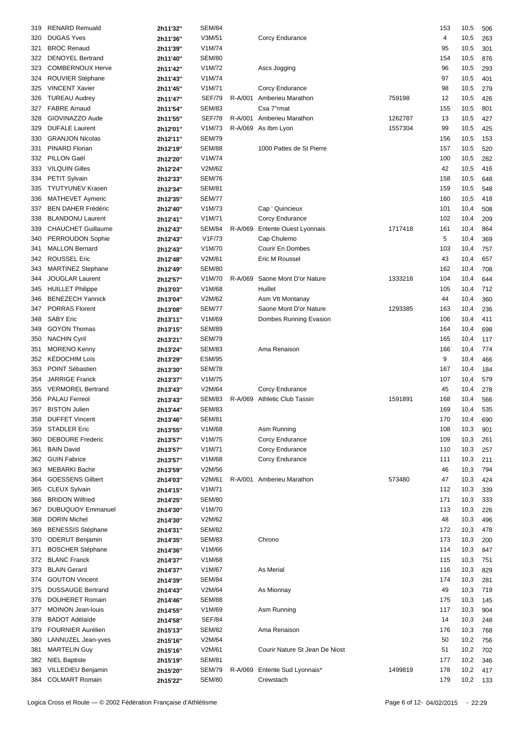| 319 | <b>RENARD Remuald</b>     | 2h11'32" | <b>SEM/84</b> |         |                                |         | 153 | 10,5 | 506 |
|-----|---------------------------|----------|---------------|---------|--------------------------------|---------|-----|------|-----|
|     |                           |          |               |         |                                |         |     |      |     |
| 320 | <b>DUGAS Yves</b>         | 2h11'36" | V3M/51        |         | Corcy Endurance                |         | 4   | 10,5 | 263 |
| 321 | <b>BROC Renaud</b>        | 2h11'39" | V1M/74        |         |                                |         | 95  | 10,5 | 301 |
| 322 | <b>DENOYEL Bertrand</b>   | 2h11'40" | <b>SEM/80</b> |         |                                |         | 154 | 10,5 | 876 |
| 323 | COMBERNOUX Herve          | 2h11'42" | V1M/72        |         | Ascs Jogging                   |         | 96  | 10,5 | 293 |
| 324 | ROUVIER Stéphane          | 2h11'43" | V1M/74        |         |                                |         | 97  | 10,5 | 401 |
| 325 | <b>VINCENT Xavier</b>     | 2h11'45" | V1M/71        |         | Corcy Endurance                |         | 98  | 10,5 | 279 |
| 326 | <b>TUREAU Audrey</b>      | 2h11'47" | <b>SEF/79</b> | R-A/001 | Amberieu Marathon              | 759198  | 12  | 10,5 | 426 |
| 327 | <b>FABRE Arnaud</b>       | 2h11'54" | <b>SEM/83</b> |         | Csa 7°rmat                     |         | 155 | 10,5 | 801 |
|     |                           |          |               |         |                                |         |     |      |     |
| 328 | GIOVINAZZO Aude           | 2h11'55" | <b>SEF/78</b> |         | R-A/001 Amberieu Marathon      | 1262787 | 13  | 10,5 | 427 |
| 329 | <b>DUFALE Laurent</b>     | 2h12'01" | V1M/73        |         | R-A/069 As Ibm Lyon            | 1557304 | 99  | 10,5 | 425 |
| 330 | <b>GRANJON Nicolas</b>    | 2h12'11" | <b>SEM/79</b> |         |                                |         | 156 | 10,5 | 153 |
| 331 | PINARD Florian            | 2h12'19" | <b>SEM/88</b> |         | 1000 Pattes de St Pierre       |         | 157 | 10,5 | 520 |
| 332 | PILLON Gaël               | 2h12'20" | V1M/74        |         |                                |         | 100 | 10,5 | 282 |
| 333 | <b>VILQUIN Gilles</b>     | 2h12'24" | V2M/62        |         |                                |         | 42  | 10,5 | 416 |
| 334 | PETIT Sylvain             | 2h12'33" | <b>SEM/76</b> |         |                                |         | 158 | 10,5 | 648 |
| 335 | <b>TYUTYUNEV Krasen</b>   | 2h12'34" | <b>SEM/81</b> |         |                                |         | 159 | 10,5 | 548 |
| 336 | MATHEVET Aymeric          | 2h12'35" | <b>SEM/77</b> |         |                                |         | 160 | 10,5 | 418 |
|     | <b>BEN DAHER Frédéric</b> |          |               |         |                                |         |     |      |     |
| 337 |                           | 2h12'40" | V1M/73        |         | Cap ' Quincieux                |         | 101 | 10,4 | 508 |
| 338 | <b>BLANDONU Laurent</b>   | 2h12'41" | V1M/71        |         | Corcy Endurance                |         | 102 | 10,4 | 209 |
| 339 | <b>CHAUCHET Guillaume</b> | 2h12'43" | <b>SEM/84</b> | R-A/069 | <b>Entente Ouest Lyonnais</b>  | 1717418 | 161 | 10,4 | 864 |
| 340 | PERROUDON Sophie          | 2h12'43" | V1F/73        |         | Cap Chulemo                    |         | 5   | 10,4 | 369 |
| 341 | <b>MALLON Bernard</b>     | 2h12'43" | V1M/70        |         | Courir En Dombes               |         | 103 | 10,4 | 757 |
| 342 | <b>ROUSSEL Eric</b>       | 2h12'48" | V2M/61        |         | Eric M Roussel                 |         | 43  | 10,4 | 657 |
| 343 | <b>MARTINEZ Stephane</b>  | 2h12'49" | <b>SEM/80</b> |         |                                |         | 162 | 10,4 | 708 |
| 344 | <b>JOUGLAR Laurent</b>    | 2h12'57" | V1M/70        | R-A/069 | Saone Mont D'or Nature         | 1333218 | 104 | 10,4 | 644 |
| 345 | <b>HUILLET Philippe</b>   | 2h13'03" | V1M/68        |         | Huillet                        |         | 105 | 10,4 | 712 |
|     | <b>BENEZECH Yannick</b>   |          | V2M/62        |         |                                |         |     |      |     |
| 346 |                           | 2h13'04" |               |         | Asm Vtt Montanay               |         | 44  | 10,4 | 360 |
| 347 | <b>PORRAS Florent</b>     | 2h13'08" | <b>SEM/77</b> |         | Saone Mont D'or Nature         | 1293385 | 163 | 10,4 | 236 |
| 348 | <b>SABY Eric</b>          | 2h13'11" | V1M/69        |         | Dombes Running Evasion         |         | 106 | 10,4 | 411 |
| 349 | <b>GOYON Thomas</b>       | 2h13'15" | <b>SEM/89</b> |         |                                |         | 164 | 10,4 | 698 |
| 350 | <b>NACHIN Cyril</b>       | 2h13'21" | <b>SEM/79</b> |         |                                |         | 165 | 10,4 | 117 |
| 351 | <b>MORENO Kenny</b>       | 2h13'24" | <b>SEM/83</b> |         | Ama Renaison                   |         | 166 | 10,4 | 774 |
| 352 | <b>KÉDOCHIM Loïs</b>      | 2h13'29" | <b>ESM/95</b> |         |                                |         | 9   | 10,4 | 466 |
| 353 | POINT Sébastien           | 2h13'30" | <b>SEM/78</b> |         |                                |         | 167 | 10,4 | 184 |
| 354 | JARRIGE Franck            | 2h13'37" | V1M/75        |         |                                |         | 107 | 10,4 | 579 |
| 355 | <b>VERMOREL Bertrand</b>  |          | V2M/64        |         | Corcy Endurance                |         | 45  | 10,4 | 278 |
|     |                           | 2h13'43" |               |         |                                |         |     |      |     |
| 356 | <b>PALAU Ferreol</b>      | 2h13'43" | <b>SEM/83</b> |         | R-A/069 Athletic Club Tassin   | 1591891 | 168 | 10,4 | 566 |
| 357 | <b>BISTON Julien</b>      | 2h13'44" | <b>SEM/83</b> |         |                                |         | 169 | 10,4 | 535 |
|     | 358 DUFFET Vincent        | 2h13'46" | <b>SEM/81</b> |         |                                |         | 170 | 10,4 | 690 |
| 359 | <b>STADLER Eric</b>       | 2h13'55" | V1M/68        |         | Asm Running                    |         | 108 | 10,3 | 901 |
| 360 | <b>DEBOURE Frederic</b>   | 2h13'57" | V1M/75        |         | Corcy Endurance                |         | 109 | 10,3 | 261 |
| 361 | <b>BAIN David</b>         | 2h13'57" | V1M/71        |         | Corcy Endurance                |         | 110 | 10,3 | 257 |
| 362 | <b>GUIN Fabrice</b>       | 2h13'57" | V1M/68        |         | Corcy Endurance                |         | 111 | 10,3 | 211 |
| 363 | <b>MEBARKI Bachir</b>     | 2h13'59" | V2M/56        |         |                                |         | 46  | 10,3 | 794 |
| 364 | <b>GOESSENS Gilbert</b>   | 2h14'03" | V2M/61        |         | R-A/001 Amberieu Marathon      | 573480  | 47  | 10,3 | 424 |
|     |                           |          |               |         |                                |         |     |      |     |
| 365 | <b>CLEUX Sylvain</b>      | 2h14'15" | V1M/71        |         |                                |         | 112 | 10,3 | 339 |
| 366 | <b>BRIDON Wilfried</b>    | 2h14'25" | <b>SEM/80</b> |         |                                |         | 171 | 10,3 | 333 |
| 367 | <b>DUBUQUOY Emmanuel</b>  | 2h14'30" | V1M/70        |         |                                |         | 113 | 10,3 | 226 |
| 368 | <b>DORIN Michel</b>       | 2h14'30" | V2M/62        |         |                                |         | 48  | 10,3 | 496 |
| 369 | <b>BENESSIS Stéphane</b>  | 2h14'31" | <b>SEM/82</b> |         |                                |         | 172 | 10,3 | 478 |
| 370 | <b>ODERUT Benjamin</b>    | 2h14'35" | <b>SEM/83</b> |         | Chrono                         |         | 173 | 10,3 | 200 |
| 371 | <b>BOSCHER Stéphane</b>   | 2h14'36" | V1M/66        |         |                                |         | 114 | 10,3 | 847 |
| 372 | <b>BLANC Franck</b>       | 2h14'37" | V1M/68        |         |                                |         | 115 | 10,3 | 751 |
| 373 | <b>BLAIN Gerard</b>       | 2h14'37" | V1M/67        |         | As Merial                      |         | 116 | 10,3 | 829 |
|     | <b>GOUTON Vincent</b>     |          | <b>SEM/84</b> |         |                                |         |     | 10,3 |     |
| 374 |                           | 2h14'39" |               |         |                                |         | 174 |      | 281 |
| 375 | <b>DUSSAUGE Bertrand</b>  | 2h14'43" | V2M/64        |         | As Mionnay                     |         | 49  | 10,3 | 719 |
| 376 | <b>DOUHERET Romain</b>    | 2h14'46" | SEM/88        |         |                                |         | 175 | 10,3 | 145 |
| 377 | <b>MOINON Jean-louis</b>  | 2h14'55" | V1M/69        |         | Asm Running                    |         | 117 | 10,3 | 904 |
| 378 | <b>BADOT Adélaïde</b>     | 2h14'58" | <b>SEF/84</b> |         |                                |         | 14  | 10,3 | 248 |
| 379 | FOURNIER Aurélien         | 2h15'13" | <b>SEM/82</b> |         | Ama Renaison                   |         | 176 | 10,3 | 768 |
| 380 | LANNUZEL Jean-yves        | 2h15'16" | V2M/64        |         |                                |         | 50  | 10,2 | 756 |
| 381 | <b>MARTELIN Guy</b>       | 2h15'16" | V2M/61        |         | Courir Nature St Jean De Niost |         | 51  | 10,2 | 702 |
| 382 | <b>NIEL Baptiste</b>      | 2h15'19" | <b>SEM/81</b> |         |                                |         | 177 | 10,2 | 346 |
|     |                           |          |               |         |                                |         |     |      |     |
| 383 | VILLEDIEU Benjamin        | 2h15'20" | SEM/79        |         | R-A/069 Entente Sud Lyonnais*  | 1499819 | 178 | 10,2 | 417 |
|     | 384 COLMART Romain        | 2h15'22" | <b>SEM/80</b> |         | Crewstach                      |         | 179 | 10,2 | 133 |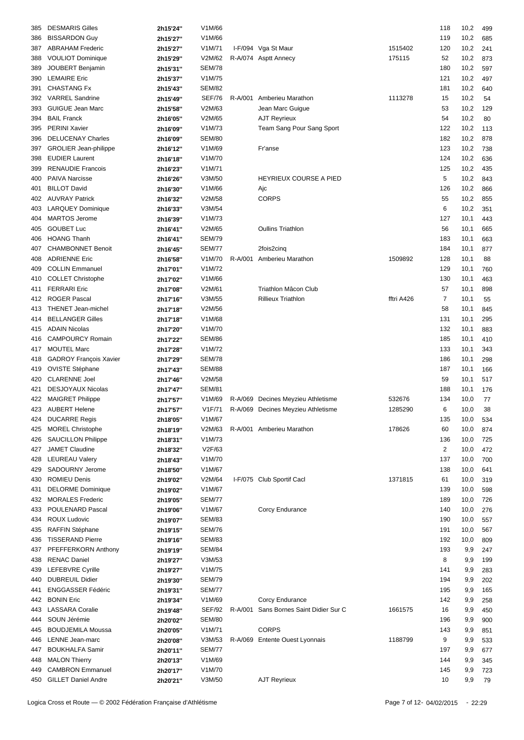| 385        | <b>DESMARIS Gilles</b>        | 2h15'24" | V1M/66        |         |                                    |            | 118            | 10,2 | 499 |
|------------|-------------------------------|----------|---------------|---------|------------------------------------|------------|----------------|------|-----|
| 386        | <b>BISSARDON Guy</b>          | 2h15'27" | V1M/66        |         |                                    |            | 119            | 10,2 | 685 |
| 387        | <b>ABRAHAM Frederic</b>       | 2h15'27" | V1M/71        |         | I-F/094 Vga St Maur                | 1515402    | 120            | 10,2 | 241 |
| 388        | <b>VOULIOT Dominique</b>      | 2h15'29" | V2M/62        |         | R-A/074 Asptt Annecy               | 175115     | 52             | 10,2 | 873 |
| 389        | <b>JOUBERT Benjamin</b>       | 2h15'31" | <b>SEM/78</b> |         |                                    |            | 180            | 10,2 | 597 |
| 390        | <b>LEMAIRE Eric</b>           |          | V1M/75        |         |                                    |            | 121            | 10,2 | 497 |
|            |                               | 2h15'37" |               |         |                                    |            |                |      |     |
| 391        | <b>CHASTANG Fx</b>            | 2h15'43" | <b>SEM/82</b> |         |                                    |            | 181            | 10,2 | 640 |
| 392        | <b>VARREL Sandrine</b>        | 2h15'49" | <b>SEF/76</b> |         | R-A/001 Amberieu Marathon          | 1113278    | 15             | 10,2 | 54  |
| 393        | <b>GUIGUE Jean Marc</b>       | 2h15'58" | V2M/63        |         | Jean Marc Guigue                   |            | 53             | 10,2 | 129 |
| 394        | <b>BAIL Franck</b>            | 2h16'05" | V2M/65        |         | <b>AJT Reyrieux</b>                |            | 54             | 10,2 | 80  |
| 395        | <b>PERINI Xavier</b>          | 2h16'09" | V1M/73        |         | Team Sang Pour Sang Sport          |            | 122            | 10,2 | 113 |
| 396        | <b>DELUCENAY Charles</b>      | 2h16'09" | <b>SEM/80</b> |         |                                    |            | 182            | 10,2 | 878 |
| 397        | <b>GROLIER Jean-philippe</b>  | 2h16'12" | V1M/69        |         | Fr'anse                            |            | 123            | 10,2 | 738 |
| 398        | <b>EUDIER Laurent</b>         | 2h16'18" | V1M/70        |         |                                    |            | 124            | 10,2 | 636 |
| 399        | <b>RENAUDIE Francois</b>      | 2h16'23" | V1M/71        |         |                                    |            | 125            | 10,2 | 435 |
| 400        | <b>PAIVA Narcisse</b>         | 2h16'26" | V3M/50        |         | <b>HEYRIEUX COURSE A PIED</b>      |            | 5              | 10,2 | 843 |
| 401        | <b>BILLOT David</b>           | 2h16'30" | V1M/66        |         | Ajc                                |            | 126            | 10,2 | 866 |
| 402        | <b>AUVRAY Patrick</b>         | 2h16'32" | V2M/58        |         | <b>CORPS</b>                       |            | 55             | 10,2 | 855 |
|            |                               |          |               |         |                                    |            | 6              | 10,2 |     |
| 403        | <b>LARQUEY Dominique</b>      | 2h16'33" | V3M/54        |         |                                    |            |                |      | 351 |
| 404        | <b>MARTOS Jerome</b>          | 2h16'39" | V1M/73        |         |                                    |            | 127            | 10,1 | 443 |
| 405        | <b>GOUBET Luc</b>             | 2h16'41" | V2M/65        |         | <b>Oullins Triathlon</b>           |            | 56             | 10,1 | 665 |
| 406        | <b>HOANG Thanh</b>            | 2h16'41" | <b>SEM/79</b> |         |                                    |            | 183            | 10,1 | 663 |
| 407        | <b>CHAMBONNET Benoit</b>      | 2h16'45" | <b>SEM/77</b> |         | 2fois2cinq                         |            | 184            | 10,1 | 877 |
| 408        | <b>ADRIENNE Eric</b>          | 2h16'58" | V1M/70        | R-A/001 | Amberieu Marathon                  | 1509892    | 128            | 10,1 | 88  |
| 409        | <b>COLLIN Emmanuel</b>        | 2h17'01" | V1M/72        |         |                                    |            | 129            | 10,1 | 760 |
| 410        | <b>COLLET Christophe</b>      | 2h17'02" | V1M/66        |         |                                    |            | 130            | 10,1 | 463 |
| 411        | <b>FERRARI Eric</b>           | 2h17'08" | V2M/61        |         | Triathlon Mâcon Club               |            | 57             | 10,1 | 898 |
| 412        | <b>ROGER Pascal</b>           | 2h17'16" | V3M/55        |         | <b>Rillieux Triathlon</b>          | fftri A426 | 7              | 10,1 | 55  |
| 413        | <b>THENET Jean-michel</b>     | 2h17'18" | V2M/56        |         |                                    |            | 58             | 10,1 | 845 |
| 414        | <b>BELLANGER Gilles</b>       | 2h17'18" | V1M/68        |         |                                    |            | 131            | 10,1 | 295 |
|            | <b>ADAIN Nicolas</b>          |          | V1M/70        |         |                                    |            | 132            | 10,1 | 883 |
| 415<br>416 | <b>CAMPOURCY Romain</b>       | 2h17'20" | <b>SEM/86</b> |         |                                    |            | 185            |      |     |
|            |                               | 2h17'22" |               |         |                                    |            |                | 10,1 | 410 |
| 417        | <b>MOUTEL Marc</b>            | 2h17'28" | V1M/72        |         |                                    |            | 133            | 10,1 | 343 |
| 418        | <b>GADROY François Xavier</b> | 2h17'29" | <b>SEM/78</b> |         |                                    |            | 186            | 10,1 | 298 |
| 419        | <b>OVISTE Stéphane</b>        | 2h17'43" | <b>SEM/88</b> |         |                                    |            | 187            | 10,1 | 166 |
| 420        | <b>CLARENNE Joel</b>          | 2h17'46" | V2M/58        |         |                                    |            | 59             | 10,1 | 517 |
| 421        | <b>DESJOYAUX Nicolas</b>      | 2h17'47" | <b>SEM/81</b> |         |                                    |            | 188            | 10,1 | 176 |
| 422        | <b>MAIGRET Philippe</b>       | 2h17'57" | V1M/69        |         | R-A/069 Decines Meyzieu Athletisme | 532676     | 134            | 10,0 | 77  |
|            | 423 AUBERT Helene             | 2h17'57" | V1F/71        |         | R-A/069 Decines Meyzieu Athletisme | 1285290    | 6              | 10,0 | 38  |
|            | 424 DUCARRE Regis             | 2h18'05" | V1M/67        |         |                                    |            | 135            | 10,0 | 534 |
| 425        | <b>MOREL Christophe</b>       | 2h18'19" | V2M/63        |         | R-A/001 Amberieu Marathon          | 178626     | 60             | 10,0 | 874 |
| 426        | <b>SAUCILLON Philippe</b>     | 2h18'31" | V1M/73        |         |                                    |            | 136            | 10,0 | 725 |
| 427        | <b>JAMET Claudine</b>         | 2h18'32" | V2F/63        |         |                                    |            | $\overline{2}$ | 10,0 | 472 |
|            |                               |          | V1M/70        |         |                                    |            |                |      |     |
| 428        | <b>LEUREAU Valery</b>         | 2h18'43" |               |         |                                    |            | 137            | 10,0 | 700 |
| 429        | SADOURNY Jerome               | 2h18'50" | V1M/67        |         |                                    |            | 138            | 10,0 | 641 |
| 430        | <b>ROMIEU Denis</b>           | 2h19'02" | V2M/64        |         | I-F/075 Club Sportif Cacl          | 1371815    | 61             | 10,0 | 319 |
| 431        | <b>DELORME</b> Dominique      | 2h19'02" | V1M/67        |         |                                    |            | 139            | 10,0 | 598 |
| 432        | <b>MORALES Frederic</b>       | 2h19'05" | <b>SEM/77</b> |         |                                    |            | 189            | 10,0 | 726 |
| 433        | POULENARD Pascal              | 2h19'06" | V1M/67        |         | Corcy Endurance                    |            | 140            | 10,0 | 276 |
| 434        | <b>ROUX Ludovic</b>           | 2h19'07" | <b>SEM/83</b> |         |                                    |            | 190            | 10,0 | 557 |
| 435        | RAFFIN Stéphane               | 2h19'15" | <b>SEM/76</b> |         |                                    |            | 191            | 10,0 | 567 |
| 436        | <b>TISSERAND Pierre</b>       | 2h19'16" | <b>SEM/83</b> |         |                                    |            | 192            | 10,0 | 809 |
| 437        | PFEFFERKORN Anthony           | 2h19'19" | <b>SEM/84</b> |         |                                    |            | 193            | 9,9  | 247 |
| 438        | <b>RENAC Daniel</b>           | 2h19'27" | V3M/53        |         |                                    |            | 8              | 9,9  | 199 |
| 439        | <b>LEFEBVRE Cyrille</b>       | 2h19'27" | V1M/75        |         |                                    |            | 141            | 9,9  | 283 |
| 440        | <b>DUBREUIL Didier</b>        | 2h19'30" | <b>SEM/79</b> |         |                                    |            | 194            | 9,9  | 202 |
|            | <b>ENGGASSER Fédéric</b>      |          | <b>SEM/77</b> |         |                                    |            |                |      |     |
| 441        |                               | 2h19'31" |               |         |                                    |            | 195            | 9,9  | 165 |
| 442        | <b>BONIN Eric</b>             | 2h19'34" | V1M/69        |         | Corcy Endurance                    |            | 142            | 9,9  | 258 |
| 443        | <b>LASSARA Coralie</b>        | 2h19'48" | SEF/92        | R-A/001 | Sans Bornes Saint Didier Sur C     | 1661575    | 16             | 9,9  | 450 |
| 444        | SOUN Jérémie                  | 2h20'02" | <b>SEM/80</b> |         |                                    |            | 196            | 9,9  | 900 |
| 445        | <b>BOUDJEMILA Moussa</b>      | 2h20'05" | V1M/71        |         | <b>CORPS</b>                       |            | 143            | 9,9  | 851 |
| 446        | LENNE Jean-marc               | 2h20'08" | V3M/53        |         | R-A/069 Entente Ouest Lyonnais     | 1188799    | 9              | 9,9  | 533 |
| 447        | <b>BOUKHALFA Samir</b>        | 2h20'11" | <b>SEM/77</b> |         |                                    |            | 197            | 9,9  | 677 |
| 448        | <b>MALON Thierry</b>          | 2h20'13" | V1M/69        |         |                                    |            | 144            | 9,9  | 345 |
| 449        | <b>CAMBRON Emmanuel</b>       | 2h20'17" | V1M/70        |         |                                    |            | 145            | 9,9  | 723 |
|            | 450 GILLET Daniel Andre       | 2h20'21" | V3M/50        |         | <b>AJT Reyrieux</b>                |            | 10             | 9,9  | 79  |
|            |                               |          |               |         |                                    |            |                |      |     |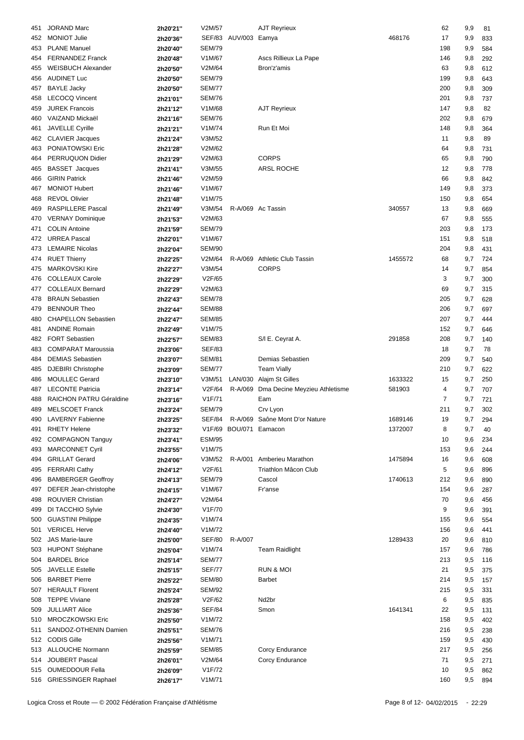| 451 | <b>JORAND Marc</b>                                | 2h20'21"             | V2M/57           |                        | <b>AJT Reyrieux</b>            |         | 62        | 9,9        | 81         |
|-----|---------------------------------------------------|----------------------|------------------|------------------------|--------------------------------|---------|-----------|------------|------------|
| 452 | <b>MONIOT Julie</b>                               | 2h20'36"             |                  | SEF/83 AUV/003 Eamya   |                                | 468176  | 17        | 9,9        | 833        |
|     | <b>PLANE Manuel</b>                               |                      |                  |                        |                                |         |           |            |            |
| 453 |                                                   | 2h20'40"             | <b>SEM/79</b>    |                        |                                |         | 198       | 9,9        | 584        |
| 454 | <b>FERNANDEZ Franck</b>                           | 2h20'48"             | V1M/67           |                        | Ascs Rillieux La Pape          |         | 146       | 9,8        | 292        |
| 455 | <b>WEISBUCH Alexander</b>                         | 2h20'50"             | V2M/64           |                        | Bron'z'amis                    |         | 63        | 9,8        | 612        |
| 456 | <b>AUDINET Luc</b>                                | 2h20'50"             | <b>SEM/79</b>    |                        |                                |         | 199       | 9,8        | 643        |
| 457 | <b>BAYLE Jacky</b>                                | 2h20'50"             | <b>SEM/77</b>    |                        |                                |         | 200       | 9,8        | 309        |
|     |                                                   |                      |                  |                        |                                |         |           |            |            |
| 458 | <b>LECOCQ Vincent</b>                             | 2h21'01"             | <b>SEM/76</b>    |                        |                                |         | 201       | 9,8        | 737        |
| 459 | <b>JUREK Francois</b>                             | 2h21'12"             | V1M/68           |                        | AJT Reyrieux                   |         | 147       | 9,8        | 82         |
| 460 | VAIZAND Mickaël                                   | 2h21'16"             | <b>SEM/76</b>    |                        |                                |         | 202       | 9,8        | 679        |
| 461 | <b>JAVELLE Cyrille</b>                            | 2h21'21"             | V1M/74           |                        | Run Et Moi                     |         | 148       | 9,8        | 364        |
| 462 | <b>CLAVIER Jacques</b>                            | 2h21'24"             | V3M/52           |                        |                                |         | 11        | 9,8        | 89         |
|     |                                                   |                      |                  |                        |                                |         |           |            |            |
| 463 | PONIATOWSKI Eric                                  | 2h21'28"             | V2M/62           |                        |                                |         | 64        | 9,8        | 731        |
| 464 | PERRUQUON Didier                                  | 2h21'29"             | V2M/63           |                        | <b>CORPS</b>                   |         | 65        | 9,8        | 790        |
| 465 | <b>BASSET</b> Jacques                             | 2h21'41"             | V3M/55           |                        | <b>ARSL ROCHE</b>              |         | 12        | 9,8        | 778        |
| 466 | <b>GIRIN Patrick</b>                              | 2h21'46"             | V2M/59           |                        |                                |         | 66        | 9,8        | 842        |
| 467 | <b>MONIOT Hubert</b>                              | 2h21'46"             | V1M/67           |                        |                                |         | 149       | 9,8        | 373        |
|     |                                                   |                      |                  |                        |                                |         |           |            |            |
| 468 | <b>REVOL Olivier</b>                              | 2h21'48"             | V1M/75           |                        |                                |         | 150       | 9,8        | 654        |
| 469 | <b>RASPILLERE Pascal</b>                          | 2h21'49"             | V3M/54           |                        | R-A/069 Ac Tassin              | 340557  | 13        | 9,8        | 669        |
| 470 | <b>VERNAY Dominique</b>                           | 2h21'53"             | V2M/63           |                        |                                |         | 67        | 9,8        | 555        |
| 471 | <b>COLIN Antoine</b>                              | 2h21'59"             | <b>SEM/79</b>    |                        |                                |         | 203       | 9,8        | 173        |
| 472 | <b>URREA Pascal</b>                               | 2h22'01"             | V1M/67           |                        |                                |         | 151       | 9,8        | 518        |
|     |                                                   |                      |                  |                        |                                |         |           |            |            |
| 473 | <b>LEMAIRE Nicolas</b>                            | 2h22'04"             | <b>SEM/90</b>    |                        |                                |         | 204       | 9,8        | 431        |
| 474 | <b>RUET Thierry</b>                               | 2h22'25"             | V2M/64           |                        | R-A/069 Athletic Club Tassin   | 1455572 | 68        | 9,7        | 724        |
| 475 | <b>MARKOVSKI Kire</b>                             | 2h22'27"             | V3M/54           |                        | <b>CORPS</b>                   |         | 14        | 9,7        | 854        |
| 476 | <b>COLLEAUX Carole</b>                            | 2h22'29"             | V2F/65           |                        |                                |         | 3         | 9,7        | 300        |
| 477 | <b>COLLEAUX Bernard</b>                           | 2h22'29"             | V2M/63           |                        |                                |         | 69        | 9,7        | 315        |
|     |                                                   |                      |                  |                        |                                |         |           |            |            |
| 478 | <b>BRAUN Sebastien</b>                            | 2h22'43"             | <b>SEM/78</b>    |                        |                                |         | 205       | 9,7        | 628        |
| 479 | <b>BENNOUR Theo</b>                               | 2h22'44"             | <b>SEM/88</b>    |                        |                                |         | 206       | 9,7        | 697        |
| 480 | <b>CHAPELLON Sebastien</b>                        | 2h22'47"             | <b>SEM/85</b>    |                        |                                |         | 207       | 9,7        | 444        |
| 481 | <b>ANDINE Romain</b>                              | 2h22'49"             | V1M/75           |                        |                                |         | 152       | 9,7        | 646        |
| 482 | <b>FORT Sebastien</b>                             | 2h22'57"             | <b>SEM/83</b>    |                        | S/I E. Ceyrat A.               | 291858  | 208       | 9,7        | 140        |
| 483 | <b>COMPARAT Maroussia</b>                         | 2h23'06"             | <b>SEF/83</b>    |                        |                                |         | 18        | 9,7        | 78         |
| 484 | <b>DEMIAS</b> Sebastien                           |                      | <b>SEM/81</b>    |                        | Demias Sebastien               |         | 209       | 9,7        |            |
|     |                                                   | 2h23'07"             |                  |                        |                                |         |           |            | 540        |
| 485 | DJEBIRI Christophe                                | 2h23'09"             | <b>SEM/77</b>    |                        | <b>Team Vially</b>             |         | 210       | 9,7        | 622        |
| 486 | <b>MOULLEC Gerard</b>                             | 2h23'10"             | V3M/51           | LAN/030                | Alajm St Gilles                | 1633322 | 15        | 9,7        | 250        |
| 487 | <b>LECONTE Patricia</b>                           | 2h23'14"             | V2F/64           | R-A/069                | Dma Decine Meyzieu Athletisme  | 581903  | 4         | 9,7        | 707        |
| 488 | <b>RAICHON PATRU Géraldine</b>                    | 2h23'16"             | V1F/71           |                        | Eam                            |         | 7         | 9,7        | 721        |
| 489 | <b>MELSCOET Franck</b>                            | 2h23'24"             | <b>SEM/79</b>    |                        | Crv Lyon                       |         | 211       | 9,7        | 302        |
|     | 490 LAVERNY Fabienne                              | 2h23'25"             | SFF/84           |                        | R-A/069 Saône Mont D'or Nature | 1689146 | 19        | 9,7        | 294        |
|     |                                                   |                      |                  |                        |                                |         |           |            |            |
| 491 | <b>RHETY Helene</b>                               | 2h23'32"             |                  | V1F/69 BOU/071 Eamacon |                                | 1372007 | 8         | 9,7        | 40         |
| 492 | <b>COMPAGNON Tanguy</b>                           | 2h23'41"             | <b>ESM/95</b>    |                        |                                |         | 10        | 9,6        | 234        |
| 493 | <b>MARCONNET Cyril</b>                            | 2h23'55"             | V1M/75           |                        |                                |         | 153       | 9,6        | 244        |
| 494 | <b>GRILLAT Gerard</b>                             | 2h24'06"             | V3M/52           | R-A/001                | Amberieu Marathon              | 1475894 | 16        | 9,6        | 608        |
| 495 | <b>FERRARI Cathy</b>                              | 2h24'12"             | V2F/61           |                        | Triathlon Mâcon Club           |         | 5         | 9,6        | 896        |
| 496 | <b>BAMBERGER Geoffroy</b>                         | 2h24'13"             | <b>SEM/79</b>    |                        | Cascol                         | 1740613 | 212       | 9,6        | 890        |
|     |                                                   |                      |                  |                        |                                |         |           |            |            |
| 497 | DEFER Jean-christophe                             | 2h24'15"             | V1M/67           |                        | Fr'anse                        |         | 154       | 9,6        | 287        |
| 498 | <b>ROUVIER Christian</b>                          | 2h24'27"             | V2M/64           |                        |                                |         | 70        | 9,6        | 456        |
| 499 | DI TACCHIO Sylvie                                 | 2h24'30"             | V1F/70           |                        |                                |         | 9         | 9,6        | 391        |
| 500 | <b>GUASTINI Philippe</b>                          | 2h24'35"             | V1M/74           |                        |                                |         | 155       | 9,6        | 554        |
| 501 | <b>VERICEL Herve</b>                              | 2h24'40"             | V1M/72           |                        |                                |         | 156       | 9,6        | 441        |
| 502 | <b>JAS Marie-laure</b>                            |                      | <b>SEF/80</b>    | R-A/007                |                                | 1289433 | 20        | 9,6        | 810        |
|     |                                                   | 2h25'00"             |                  |                        |                                |         |           |            |            |
| 503 | <b>HUPONT Stéphane</b>                            | 2h25'04"             | V1M/74           |                        | <b>Team Raidlight</b>          |         | 157       | 9,6        | 786        |
| 504 | <b>BARDEL Brice</b>                               | 2h25'14"             | <b>SEM/77</b>    |                        |                                |         | 213       | 9,5        | 116        |
| 505 | <b>JAVELLE Estelle</b>                            | 2h25'15"             | <b>SEF/77</b>    |                        | RUN & MOI                      |         | 21        | 9,5        | 375        |
| 506 | <b>BARBET Pierre</b>                              | 2h25'22"             | <b>SEM/80</b>    |                        | <b>Barbet</b>                  |         | 214       | 9,5        | 157        |
| 507 | <b>HERAULT Florent</b>                            | 2h25'24"             | <b>SEM/92</b>    |                        |                                |         | 215       | 9,5        | 331        |
| 508 | <b>TEPPE Viviane</b>                              |                      | V2F/62           |                        | Nd <sub>2</sub> br             |         | 6         | 9,5        | 835        |
|     |                                                   | 2h25'28"             |                  |                        |                                |         |           |            |            |
| 509 | <b>JULLIART Alice</b>                             | 2h25'36"             | <b>SEF/84</b>    |                        | Smon                           | 1641341 | 22        | 9,5        | 131        |
| 510 | <b>MROCZKOWSKI Eric</b>                           | 2h25'50"             | V1M/72           |                        |                                |         | 158       | 9,5        | 402        |
| 511 | SANDOZ-OTHENIN Damien                             | 2h25'51"             | <b>SEM/76</b>    |                        |                                |         | 216       | 9,5        | 238        |
| 512 | <b>CODIS Gille</b>                                | 2h25'56"             | V1M/71           |                        |                                |         | 159       | 9,5        | 430        |
| 513 | <b>ALLOUCHE Normann</b>                           | 2h25'59"             | <b>SEM/85</b>    |                        | Corcy Endurance                |         | 217       | 9,5        | 256        |
|     | <b>JOUBERT Pascal</b>                             |                      | V2M/64           |                        | Corcy Endurance                |         | 71        | 9,5        |            |
| 514 |                                                   | 2h26'01"             |                  |                        |                                |         |           |            | 271        |
|     |                                                   |                      |                  |                        |                                |         |           |            |            |
| 515 | <b>OUMEDDOUR Fella</b><br>516 GRIESSINGER Raphael | 2h26'09"<br>2h26'17" | V1F/72<br>V1M/71 |                        |                                |         | 10<br>160 | 9,5<br>9,5 | 862<br>894 |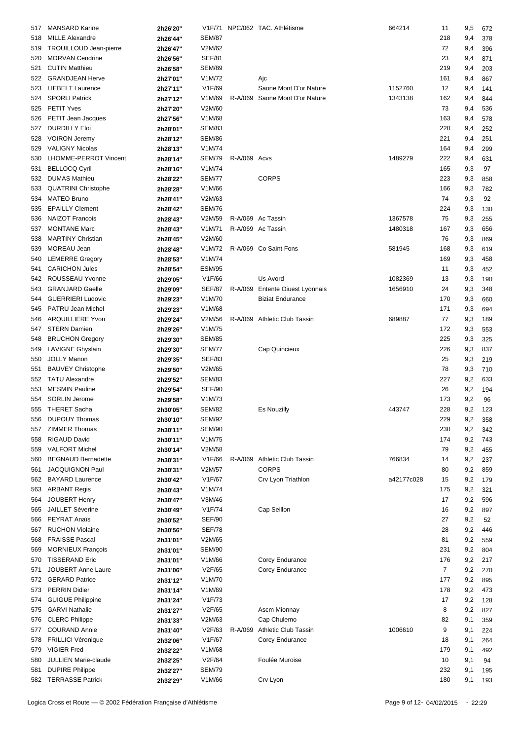| 517 | <b>MANSARD Karine</b>      | 2h26'20" |               |              | V1F/71 NPC/062 TAC. Athlétisme  | 664214     | 11             | 9,5 | 672 |
|-----|----------------------------|----------|---------------|--------------|---------------------------------|------------|----------------|-----|-----|
| 518 | <b>MILLE Alexandre</b>     | 2h26'44" | <b>SEM/87</b> |              |                                 |            | 218            | 9,4 | 378 |
|     |                            |          |               |              |                                 |            |                |     |     |
| 519 | TROUILLOUD Jean-pierre     | 2h26'47" | V2M/62        |              |                                 |            | 72             | 9,4 | 396 |
| 520 | <b>MORVAN Cendrine</b>     | 2h26'56" | <b>SEF/81</b> |              |                                 |            | 23             | 9,4 | 871 |
| 521 | <b>CUTIN Matthieu</b>      | 2h26'58" | <b>SEM/89</b> |              |                                 |            | 219            | 9,4 | 203 |
| 522 | <b>GRANDJEAN Herve</b>     | 2h27'01" | V1M/72        |              | Ajc                             |            | 161            | 9,4 | 867 |
| 523 | <b>LIEBELT Laurence</b>    | 2h27'11" | V1F/69        |              | Saone Mont D'or Nature          | 1152760    | 12             | 9,4 | 141 |
| 524 | <b>SPORLI Patrick</b>      | 2h27'12" | V1M/69        |              | R-A/069 Saone Mont D'or Nature  | 1343138    | 162            | 9,4 | 844 |
| 525 | <b>PETIT Yves</b>          | 2h27'20" | V2M/60        |              |                                 |            | 73             | 9,4 | 536 |
| 526 | PETIT Jean Jacques         | 2h27'56" | V1M/68        |              |                                 |            | 163            | 9,4 | 578 |
| 527 | <b>DURDILLY Eloi</b>       | 2h28'01" | <b>SEM/83</b> |              |                                 |            | 220            | 9,4 | 252 |
|     | <b>VOIRON Jeremy</b>       |          | <b>SEM/86</b> |              |                                 |            | 221            |     |     |
| 528 |                            | 2h28'12" |               |              |                                 |            |                | 9,4 | 251 |
| 529 | <b>VALIGNY Nicolas</b>     | 2h28'13" | V1M/74        |              |                                 |            | 164            | 9,4 | 299 |
| 530 | LHOMME-PERROT Vincent      | 2h28'14" | <b>SEM/79</b> | R-A/069 Acvs |                                 | 1489279    | 222            | 9,4 | 631 |
| 531 | <b>BELLOCQ Cyril</b>       | 2h28'16" | V1M/74        |              |                                 |            | 165            | 9,3 | 97  |
| 532 | <b>DUMAS Mathieu</b>       | 2h28'22" | <b>SEM/77</b> |              | <b>CORPS</b>                    |            | 223            | 9,3 | 858 |
| 533 | <b>QUATRINI Christophe</b> | 2h28'28" | V1M/66        |              |                                 |            | 166            | 9,3 | 782 |
| 534 | <b>MATEO Bruno</b>         | 2h28'41" | V2M/63        |              |                                 |            | 74             | 9,3 | 92  |
| 535 | <b>EPAILLY Clement</b>     | 2h28'42" | <b>SEM/76</b> |              |                                 |            | 224            | 9,3 | 130 |
| 536 | <b>NAIZOT Francois</b>     | 2h28'43" | V2M/59        |              | R-A/069 Ac Tassin               | 1367578    | 75             | 9,3 | 255 |
| 537 | <b>MONTANE Marc</b>        |          | V1M/71        |              | R-A/069 Ac Tassin               | 1480318    | 167            | 9,3 | 656 |
|     |                            | 2h28'43" |               |              |                                 |            |                |     |     |
| 538 | <b>MARTINY Christian</b>   | 2h28'45" | V2M/60        |              |                                 |            | 76             | 9,3 | 869 |
| 539 | MOREAU Jean                | 2h28'48" | V1M/72        |              | R-A/069 Co Saint Fons           | 581945     | 168            | 9,3 | 619 |
| 540 | <b>LEMERRE Gregory</b>     | 2h28'53" | V1M/74        |              |                                 |            | 169            | 9,3 | 458 |
| 541 | <b>CARICHON Jules</b>      | 2h28'54" | <b>ESM/95</b> |              |                                 |            | 11             | 9,3 | 452 |
| 542 | ROUSSEAU Yvonne            | 2h29'05" | V1F/66        |              | Us Avord                        | 1082369    | 13             | 9,3 | 190 |
| 543 | <b>GRANJARD Gaelle</b>     | 2h29'09" | <b>SEF/87</b> |              | R-A/069 Entente Oiuest Lyonnais | 1656910    | 24             | 9,3 | 348 |
| 544 | <b>GUERRIERI Ludovic</b>   | 2h29'23" | V1M/70        |              | <b>Biziat Endurance</b>         |            | 170            | 9,3 | 660 |
| 545 | PATRU Jean Michel          | 2h29'23" | V1M/68        |              |                                 |            | 171            | 9,3 | 694 |
| 546 | <b>ARQUILLIERE Yvon</b>    | 2h29'24" | V2M/56        |              | R-A/069 Athletic Club Tassin    | 689887     | 77             | 9,3 | 189 |
|     |                            |          |               |              |                                 |            |                |     |     |
| 547 | <b>STERN Damien</b>        | 2h29'26" | V1M/75        |              |                                 |            | 172            | 9,3 | 553 |
| 548 | <b>BRUCHON Gregory</b>     | 2h29'30" | <b>SEM/85</b> |              |                                 |            | 225            | 9,3 | 325 |
| 549 | LAVIGNE Ghyslain           | 2h29'30" | <b>SEM/77</b> |              | Cap Quincieux                   |            | 226            | 9,3 | 837 |
| 550 | <b>JOLLY Manon</b>         | 2h29'35" | <b>SEF/83</b> |              |                                 |            | 25             | 9,3 | 219 |
| 551 | <b>BAUVEY Christophe</b>   | 2h29'50" | V2M/65        |              |                                 |            | 78             | 9,3 | 710 |
| 552 | <b>TATU Alexandre</b>      | 2h29'52" | <b>SEM/83</b> |              |                                 |            | 227            | 9,2 | 633 |
| 553 | <b>MESMIN Pauline</b>      | 2h29'54" | <b>SEF/90</b> |              |                                 |            | 26             | 9,2 | 194 |
| 554 | <b>SORLIN Jerome</b>       | 2h29'58" | V1M/73        |              |                                 |            | 173            | 9,2 | 96  |
| 555 | THERET Sacha               | 2h30'05" | <b>SEM/82</b> |              | <b>Es Nouzilly</b>              | 443747     | 228            | 9,2 | 123 |
|     | 556 DUPOUY Thomas          |          | <b>SEM/92</b> |              |                                 |            | 229            | 9,2 |     |
|     |                            | 2h30'10" |               |              |                                 |            |                |     | 358 |
| 557 | <b>ZIMMER Thomas</b>       | 2h30'11" | <b>SEM/90</b> |              |                                 |            | 230            | 9,2 | 342 |
| 558 | <b>RIGAUD David</b>        | 2h30'11" | V1M/75        |              |                                 |            | 174            | 9,2 | 743 |
| 559 | <b>VALFORT Michel</b>      | 2h30'14" | V2M/58        |              |                                 |            | 79             | 9,2 | 455 |
| 560 | <b>BEGNAUD Bernadette</b>  | 2h30'31" | V1F/66        |              | R-A/069 Athletic Club Tassin    | 766834     | 14             | 9,2 | 237 |
| 561 | <b>JACQUIGNON Paul</b>     | 2h30'31" | V2M/57        |              | <b>CORPS</b>                    |            | 80             | 9,2 | 859 |
| 562 | <b>BAYARD Laurence</b>     | 2h30'42" | V1F/67        |              | Crv Lyon Triathlon              | a42177c028 | 15             | 9,2 | 179 |
| 563 | <b>ARBANT Regis</b>        | 2h30'43" | V1M/74        |              |                                 |            | 175            | 9,2 | 321 |
| 564 | <b>JOUBERT Henry</b>       | 2h30'47" | V3M/46        |              |                                 |            | 17             | 9,2 | 596 |
|     | <b>JAILLET Séverine</b>    |          | V1F/74        |              | Cap Seillon                     |            | 16             | 9,2 |     |
| 565 |                            | 2h30'49" |               |              |                                 |            |                |     | 897 |
| 566 | <b>PEYRAT Anaïs</b>        | 2h30'52" | <b>SEF/90</b> |              |                                 |            | 27             | 9,2 | 52  |
| 567 | <b>RUCHON Violaine</b>     | 2h30'56" | <b>SEF/78</b> |              |                                 |            | 28             | 9,2 | 446 |
| 568 | <b>FRAISSE Pascal</b>      | 2h31'01" | V2M/65        |              |                                 |            | 81             | 9,2 | 559 |
| 569 | <b>MORNIEUX François</b>   | 2h31'01" | <b>SEM/90</b> |              |                                 |            | 231            | 9,2 | 804 |
| 570 | <b>TISSERAND Eric</b>      | 2h31'01" | V1M/66        |              | Corcy Endurance                 |            | 176            | 9,2 | 217 |
| 571 | <b>JOUBERT Anne Laure</b>  | 2h31'06" | V2F/65        |              | Corcy Endurance                 |            | $\overline{7}$ | 9,2 | 270 |
|     | 572 GERARD Patrice         | 2h31'12" | V1M/70        |              |                                 |            | 177            | 9,2 | 895 |
| 573 | <b>PERRIN Didier</b>       | 2h31'14" | V1M/69        |              |                                 |            | 178            | 9,2 | 473 |
|     | <b>GUIGUE Philippine</b>   |          | V1F/73        |              |                                 |            | 17             |     |     |
| 574 |                            | 2h31'24" |               |              |                                 |            |                | 9,2 | 128 |
| 575 | <b>GARVI Nathalie</b>      | 2h31'27" | V2F/65        |              | Ascm Mionnay                    |            | 8              | 9,2 | 827 |
| 576 | <b>CLERC Philippe</b>      | 2h31'33" | V2M/63        |              | Cap Chulemo                     |            | 82             | 9,1 | 359 |
| 577 | <b>COURAND Annie</b>       | 2h31'40" | V2F/63        | R-A/069      | Athletic Club Tassin            | 1006610    | 9              | 9,1 | 224 |
| 578 | FRILLICI Véronique         | 2h32'06" | V1F/67        |              | Corcy Endurance                 |            | 18             | 9,1 | 264 |
| 579 | <b>VIGIER Fred</b>         | 2h32'22" | V1M/68        |              |                                 |            | 179            | 9,1 | 492 |
| 580 | JULLIEN Marie-claude       | 2h32'25" | V2F/64        |              | Foulée Muroise                  |            | 10             | 9,1 | 94  |
| 581 | <b>DUPIRE Philippe</b>     | 2h32'27" | <b>SEM/79</b> |              |                                 |            | 232            | 9,1 | 195 |
|     | 582 TERRASSE Patrick       | 2h32'29" | V1M/66        |              | Crv Lyon                        |            | 180            | 9,1 | 193 |
|     |                            |          |               |              |                                 |            |                |     |     |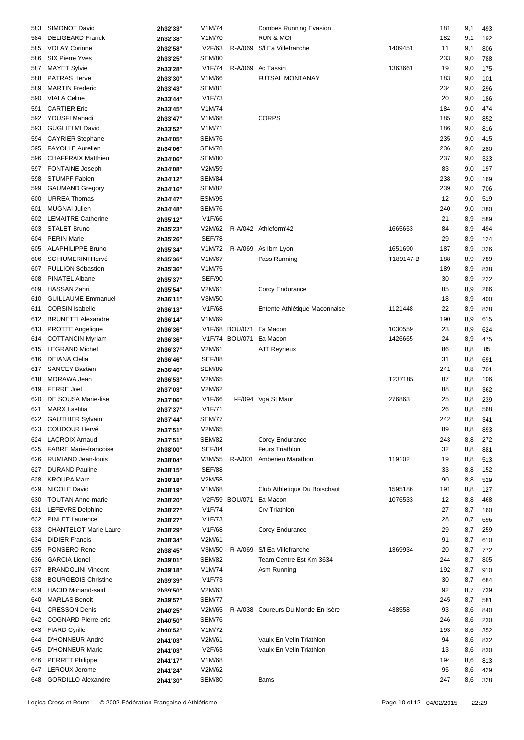| <b>DELIGEARD Franck</b><br>V1M/70<br><b>RUN &amp; MOI</b><br>2h32'38"<br>584<br><b>VOLAY Corinne</b><br>1409451<br>V2F/63<br>R-A/069 S/I Ea Villefranche<br>11<br>585<br>2h32'58"<br><b>SIX Pierre Yves</b><br><b>SEM/80</b><br>2h33'25"<br>586<br>V1F/74<br>R-A/069 Ac Tassin<br><b>MAYET Sylvie</b><br>1363661<br>587<br>2h33'28"<br><b>PATRAS Herve</b><br>V1M/66<br><b>FUTSAL MONTANAY</b><br>588<br>2h33'30"<br><b>MARTIN Frederic</b><br><b>SEM/81</b><br>2h33'43"<br>589<br><b>VIALA Celine</b><br>V1F/73<br>590<br>2h33'44"<br><b>CARTIER Eric</b><br>V1M/74<br>591<br>2h33'45"<br>YOUSFI Mahadi<br>V1M/68<br><b>CORPS</b><br>185<br>592<br>2h33'47"<br><b>GUGLIELMI David</b><br>V1M/71<br>593<br>2h33'52"<br><b>SEM/76</b><br><b>CAYRIER Stephane</b><br>594<br>2h34'05"<br><b>FAYOLLE Aurelien</b><br><b>SEM/78</b><br>595<br>2h34'06"<br><b>CHAFFRAIX Matthieu</b><br><b>SEM/80</b><br>2h34'06"<br>596<br>V2M/59<br>FONTAINE Joseph<br>83<br>597<br>2h34'08"<br>STUMPF Fabien<br><b>SEM/84</b><br>238<br>598<br>2h34'12"<br><b>SEM/82</b><br><b>GAUMAND Gregory</b><br>599<br>2h34'16"<br><b>URREA Thomas</b><br><b>ESM/95</b><br>600<br>2h34'47"<br><b>MUGNAI Julien</b><br><b>SEM/76</b><br>2h34'48"<br>601<br><b>LEMAITRE Catherine</b><br>V1F/66<br>21<br>602<br>2h35'12"<br><b>STALET Bruno</b><br>V2M/62<br>R-A/042 Athleform'42<br>1665653<br>603<br>2h35'23"<br><b>PERIN Marie</b><br><b>SEF/78</b><br>29<br>2h35'26"<br>604<br><b>ALAPHILIPPE Bruno</b><br>R-A/069 As Ibm Lyon<br>V1M/72<br>1651690<br>187<br>2h35'34"<br>605<br><b>SCHIUMERINI Hervé</b><br>V1M/67<br>Pass Running<br>T189147-B<br>2h35'36"<br>606<br>PULLION Sébastien<br>V1M/75<br>607<br>2h35'36"<br>PINATEL Albane<br><b>SEF/90</b><br>2h35'37"<br>608<br><b>HASSAN Zahri</b><br>V2M/61<br><b>Corcy Endurance</b><br>2h35'54"<br>609<br><b>GUILLAUME Emmanuel</b><br>V3M/50<br>18<br>610<br>2h36'11"<br><b>CORSIN Isabelle</b><br>V1F/68<br>Entente Athlétique Maconnaise<br>1121448<br>22<br>2h36'13"<br>611<br><b>BRUNETTI Alexandre</b><br>V1M/69<br>612<br>2h36'14"<br>1030559<br>PROTTE Angelique<br>V1F/68 BOU/071 Ea Macon<br>613<br>2h36'36"<br><b>COTTANCIN Myriam</b><br>V1F/74 BOU/071 Ea Macon<br>1426665<br>2h36'36"<br>614<br><b>LEGRAND Michel</b><br>V2M/61<br>AJT Reyrieux<br>615<br>2h36'37"<br><b>SEF/88</b><br><b>DEIANA Clelia</b><br>31<br>2h36'46"<br>616<br><b>SANCEY Bastien</b><br><b>SEM/89</b><br>241<br>617<br>2h36'46"<br>MORAWA Jean<br>V2M/65<br>T237185<br>87<br>618<br>2h36'53"<br><b>FERRE Joel</b><br>V2M/62<br>619<br>2h37'03"<br>DE SOUSA Marie-lise<br>276863<br>V1F/66<br>I-F/094 Vga St Maur<br>620<br>2h37'06"<br><b>MARX Laetitia</b><br>V1F/71<br>621<br>2h37'37"<br>622 GAUTHIER Sylvain<br><b>SEM/77</b><br>2h37'44"<br><b>COUDOUR Hervé</b><br>V2M/65<br>89<br>623<br>2h37'51"<br><b>SEM/82</b><br>624 LACROIX Arnaud<br>Corcy Endurance<br>2h37'51"<br><b>SEF/84</b><br><b>FABRE Marie-francoise</b><br><b>Feurs Triathlon</b><br>625<br>2h38'00"<br>RUMIANO Jean-louis<br>R-A/001 Amberieu Marathon<br>119102<br>2h38'04"<br>V3M/55<br>626<br><b>SEF/88</b><br><b>DURAND Pauline</b><br>627<br>2h38'15"<br><b>KROUPA Marc</b><br>V2M/58<br>90<br>628<br>2h38'18"<br>NICOLE David<br>V1M/68<br>Club Athletique Du Boischaut<br>1595186<br>191<br>629<br>2h38'19"<br>V2F/59 BOU/071 Ea Macon |     | SIMONOT David            | 2h32'33" | V1M/74 | Dombes Running Evasion   |         | 181       | 9,1        | 493        |
|---------------------------------------------------------------------------------------------------------------------------------------------------------------------------------------------------------------------------------------------------------------------------------------------------------------------------------------------------------------------------------------------------------------------------------------------------------------------------------------------------------------------------------------------------------------------------------------------------------------------------------------------------------------------------------------------------------------------------------------------------------------------------------------------------------------------------------------------------------------------------------------------------------------------------------------------------------------------------------------------------------------------------------------------------------------------------------------------------------------------------------------------------------------------------------------------------------------------------------------------------------------------------------------------------------------------------------------------------------------------------------------------------------------------------------------------------------------------------------------------------------------------------------------------------------------------------------------------------------------------------------------------------------------------------------------------------------------------------------------------------------------------------------------------------------------------------------------------------------------------------------------------------------------------------------------------------------------------------------------------------------------------------------------------------------------------------------------------------------------------------------------------------------------------------------------------------------------------------------------------------------------------------------------------------------------------------------------------------------------------------------------------------------------------------------------------------------------------------------------------------------------------------------------------------------------------------------------------------------------------------------------------------------------------------------------------------------------------------------------------------------------------------------------------------------------------------------------------------------------------------------------------------------------------------------------------------------------------------------------------------------------------------------------------------------------------------------------------------------------------------------------------------------------------------------------------------------------------------------------------------------------------------------------------------------------------------------------|-----|--------------------------|----------|--------|--------------------------|---------|-----------|------------|------------|
|                                                                                                                                                                                                                                                                                                                                                                                                                                                                                                                                                                                                                                                                                                                                                                                                                                                                                                                                                                                                                                                                                                                                                                                                                                                                                                                                                                                                                                                                                                                                                                                                                                                                                                                                                                                                                                                                                                                                                                                                                                                                                                                                                                                                                                                                                                                                                                                                                                                                                                                                                                                                                                                                                                                                                                                                                                                                                                                                                                                                                                                                                                                                                                                                                                                                                                                                       |     |                          |          |        |                          |         | 182       | 9,1        | 192        |
|                                                                                                                                                                                                                                                                                                                                                                                                                                                                                                                                                                                                                                                                                                                                                                                                                                                                                                                                                                                                                                                                                                                                                                                                                                                                                                                                                                                                                                                                                                                                                                                                                                                                                                                                                                                                                                                                                                                                                                                                                                                                                                                                                                                                                                                                                                                                                                                                                                                                                                                                                                                                                                                                                                                                                                                                                                                                                                                                                                                                                                                                                                                                                                                                                                                                                                                                       |     |                          |          |        |                          |         |           |            |            |
|                                                                                                                                                                                                                                                                                                                                                                                                                                                                                                                                                                                                                                                                                                                                                                                                                                                                                                                                                                                                                                                                                                                                                                                                                                                                                                                                                                                                                                                                                                                                                                                                                                                                                                                                                                                                                                                                                                                                                                                                                                                                                                                                                                                                                                                                                                                                                                                                                                                                                                                                                                                                                                                                                                                                                                                                                                                                                                                                                                                                                                                                                                                                                                                                                                                                                                                                       |     |                          |          |        |                          |         |           | 9,1        | 806        |
|                                                                                                                                                                                                                                                                                                                                                                                                                                                                                                                                                                                                                                                                                                                                                                                                                                                                                                                                                                                                                                                                                                                                                                                                                                                                                                                                                                                                                                                                                                                                                                                                                                                                                                                                                                                                                                                                                                                                                                                                                                                                                                                                                                                                                                                                                                                                                                                                                                                                                                                                                                                                                                                                                                                                                                                                                                                                                                                                                                                                                                                                                                                                                                                                                                                                                                                                       |     |                          |          |        |                          |         | 233       | 9,0        | 788        |
|                                                                                                                                                                                                                                                                                                                                                                                                                                                                                                                                                                                                                                                                                                                                                                                                                                                                                                                                                                                                                                                                                                                                                                                                                                                                                                                                                                                                                                                                                                                                                                                                                                                                                                                                                                                                                                                                                                                                                                                                                                                                                                                                                                                                                                                                                                                                                                                                                                                                                                                                                                                                                                                                                                                                                                                                                                                                                                                                                                                                                                                                                                                                                                                                                                                                                                                                       |     |                          |          |        |                          |         | 19        | 9,0        | 175        |
|                                                                                                                                                                                                                                                                                                                                                                                                                                                                                                                                                                                                                                                                                                                                                                                                                                                                                                                                                                                                                                                                                                                                                                                                                                                                                                                                                                                                                                                                                                                                                                                                                                                                                                                                                                                                                                                                                                                                                                                                                                                                                                                                                                                                                                                                                                                                                                                                                                                                                                                                                                                                                                                                                                                                                                                                                                                                                                                                                                                                                                                                                                                                                                                                                                                                                                                                       |     |                          |          |        |                          |         | 183       | 9,0        | 101        |
|                                                                                                                                                                                                                                                                                                                                                                                                                                                                                                                                                                                                                                                                                                                                                                                                                                                                                                                                                                                                                                                                                                                                                                                                                                                                                                                                                                                                                                                                                                                                                                                                                                                                                                                                                                                                                                                                                                                                                                                                                                                                                                                                                                                                                                                                                                                                                                                                                                                                                                                                                                                                                                                                                                                                                                                                                                                                                                                                                                                                                                                                                                                                                                                                                                                                                                                                       |     |                          |          |        |                          |         | 234       | 9,0        | 296        |
|                                                                                                                                                                                                                                                                                                                                                                                                                                                                                                                                                                                                                                                                                                                                                                                                                                                                                                                                                                                                                                                                                                                                                                                                                                                                                                                                                                                                                                                                                                                                                                                                                                                                                                                                                                                                                                                                                                                                                                                                                                                                                                                                                                                                                                                                                                                                                                                                                                                                                                                                                                                                                                                                                                                                                                                                                                                                                                                                                                                                                                                                                                                                                                                                                                                                                                                                       |     |                          |          |        |                          |         | 20        | 9,0        | 186        |
|                                                                                                                                                                                                                                                                                                                                                                                                                                                                                                                                                                                                                                                                                                                                                                                                                                                                                                                                                                                                                                                                                                                                                                                                                                                                                                                                                                                                                                                                                                                                                                                                                                                                                                                                                                                                                                                                                                                                                                                                                                                                                                                                                                                                                                                                                                                                                                                                                                                                                                                                                                                                                                                                                                                                                                                                                                                                                                                                                                                                                                                                                                                                                                                                                                                                                                                                       |     |                          |          |        |                          |         | 184       | 9,0        | 474        |
|                                                                                                                                                                                                                                                                                                                                                                                                                                                                                                                                                                                                                                                                                                                                                                                                                                                                                                                                                                                                                                                                                                                                                                                                                                                                                                                                                                                                                                                                                                                                                                                                                                                                                                                                                                                                                                                                                                                                                                                                                                                                                                                                                                                                                                                                                                                                                                                                                                                                                                                                                                                                                                                                                                                                                                                                                                                                                                                                                                                                                                                                                                                                                                                                                                                                                                                                       |     |                          |          |        |                          |         |           |            |            |
|                                                                                                                                                                                                                                                                                                                                                                                                                                                                                                                                                                                                                                                                                                                                                                                                                                                                                                                                                                                                                                                                                                                                                                                                                                                                                                                                                                                                                                                                                                                                                                                                                                                                                                                                                                                                                                                                                                                                                                                                                                                                                                                                                                                                                                                                                                                                                                                                                                                                                                                                                                                                                                                                                                                                                                                                                                                                                                                                                                                                                                                                                                                                                                                                                                                                                                                                       |     |                          |          |        |                          |         |           | 9,0        | 852        |
|                                                                                                                                                                                                                                                                                                                                                                                                                                                                                                                                                                                                                                                                                                                                                                                                                                                                                                                                                                                                                                                                                                                                                                                                                                                                                                                                                                                                                                                                                                                                                                                                                                                                                                                                                                                                                                                                                                                                                                                                                                                                                                                                                                                                                                                                                                                                                                                                                                                                                                                                                                                                                                                                                                                                                                                                                                                                                                                                                                                                                                                                                                                                                                                                                                                                                                                                       |     |                          |          |        |                          |         | 186       | 9,0        | 816        |
|                                                                                                                                                                                                                                                                                                                                                                                                                                                                                                                                                                                                                                                                                                                                                                                                                                                                                                                                                                                                                                                                                                                                                                                                                                                                                                                                                                                                                                                                                                                                                                                                                                                                                                                                                                                                                                                                                                                                                                                                                                                                                                                                                                                                                                                                                                                                                                                                                                                                                                                                                                                                                                                                                                                                                                                                                                                                                                                                                                                                                                                                                                                                                                                                                                                                                                                                       |     |                          |          |        |                          |         | 235       | 9,0        | 415        |
|                                                                                                                                                                                                                                                                                                                                                                                                                                                                                                                                                                                                                                                                                                                                                                                                                                                                                                                                                                                                                                                                                                                                                                                                                                                                                                                                                                                                                                                                                                                                                                                                                                                                                                                                                                                                                                                                                                                                                                                                                                                                                                                                                                                                                                                                                                                                                                                                                                                                                                                                                                                                                                                                                                                                                                                                                                                                                                                                                                                                                                                                                                                                                                                                                                                                                                                                       |     |                          |          |        |                          |         | 236       | 9,0        | 280        |
|                                                                                                                                                                                                                                                                                                                                                                                                                                                                                                                                                                                                                                                                                                                                                                                                                                                                                                                                                                                                                                                                                                                                                                                                                                                                                                                                                                                                                                                                                                                                                                                                                                                                                                                                                                                                                                                                                                                                                                                                                                                                                                                                                                                                                                                                                                                                                                                                                                                                                                                                                                                                                                                                                                                                                                                                                                                                                                                                                                                                                                                                                                                                                                                                                                                                                                                                       |     |                          |          |        |                          |         | 237       | 9,0        | 323        |
|                                                                                                                                                                                                                                                                                                                                                                                                                                                                                                                                                                                                                                                                                                                                                                                                                                                                                                                                                                                                                                                                                                                                                                                                                                                                                                                                                                                                                                                                                                                                                                                                                                                                                                                                                                                                                                                                                                                                                                                                                                                                                                                                                                                                                                                                                                                                                                                                                                                                                                                                                                                                                                                                                                                                                                                                                                                                                                                                                                                                                                                                                                                                                                                                                                                                                                                                       |     |                          |          |        |                          |         |           | 9,0        | 197        |
|                                                                                                                                                                                                                                                                                                                                                                                                                                                                                                                                                                                                                                                                                                                                                                                                                                                                                                                                                                                                                                                                                                                                                                                                                                                                                                                                                                                                                                                                                                                                                                                                                                                                                                                                                                                                                                                                                                                                                                                                                                                                                                                                                                                                                                                                                                                                                                                                                                                                                                                                                                                                                                                                                                                                                                                                                                                                                                                                                                                                                                                                                                                                                                                                                                                                                                                                       |     |                          |          |        |                          |         |           |            |            |
|                                                                                                                                                                                                                                                                                                                                                                                                                                                                                                                                                                                                                                                                                                                                                                                                                                                                                                                                                                                                                                                                                                                                                                                                                                                                                                                                                                                                                                                                                                                                                                                                                                                                                                                                                                                                                                                                                                                                                                                                                                                                                                                                                                                                                                                                                                                                                                                                                                                                                                                                                                                                                                                                                                                                                                                                                                                                                                                                                                                                                                                                                                                                                                                                                                                                                                                                       |     |                          |          |        |                          |         |           | 9,0        | 169        |
|                                                                                                                                                                                                                                                                                                                                                                                                                                                                                                                                                                                                                                                                                                                                                                                                                                                                                                                                                                                                                                                                                                                                                                                                                                                                                                                                                                                                                                                                                                                                                                                                                                                                                                                                                                                                                                                                                                                                                                                                                                                                                                                                                                                                                                                                                                                                                                                                                                                                                                                                                                                                                                                                                                                                                                                                                                                                                                                                                                                                                                                                                                                                                                                                                                                                                                                                       |     |                          |          |        |                          |         | 239       | 9,0        | 706        |
|                                                                                                                                                                                                                                                                                                                                                                                                                                                                                                                                                                                                                                                                                                                                                                                                                                                                                                                                                                                                                                                                                                                                                                                                                                                                                                                                                                                                                                                                                                                                                                                                                                                                                                                                                                                                                                                                                                                                                                                                                                                                                                                                                                                                                                                                                                                                                                                                                                                                                                                                                                                                                                                                                                                                                                                                                                                                                                                                                                                                                                                                                                                                                                                                                                                                                                                                       |     |                          |          |        |                          |         | 12        | 9,0        | 519        |
|                                                                                                                                                                                                                                                                                                                                                                                                                                                                                                                                                                                                                                                                                                                                                                                                                                                                                                                                                                                                                                                                                                                                                                                                                                                                                                                                                                                                                                                                                                                                                                                                                                                                                                                                                                                                                                                                                                                                                                                                                                                                                                                                                                                                                                                                                                                                                                                                                                                                                                                                                                                                                                                                                                                                                                                                                                                                                                                                                                                                                                                                                                                                                                                                                                                                                                                                       |     |                          |          |        |                          |         | 240       | 9,0        | 380        |
|                                                                                                                                                                                                                                                                                                                                                                                                                                                                                                                                                                                                                                                                                                                                                                                                                                                                                                                                                                                                                                                                                                                                                                                                                                                                                                                                                                                                                                                                                                                                                                                                                                                                                                                                                                                                                                                                                                                                                                                                                                                                                                                                                                                                                                                                                                                                                                                                                                                                                                                                                                                                                                                                                                                                                                                                                                                                                                                                                                                                                                                                                                                                                                                                                                                                                                                                       |     |                          |          |        |                          |         |           | 8,9        | 589        |
|                                                                                                                                                                                                                                                                                                                                                                                                                                                                                                                                                                                                                                                                                                                                                                                                                                                                                                                                                                                                                                                                                                                                                                                                                                                                                                                                                                                                                                                                                                                                                                                                                                                                                                                                                                                                                                                                                                                                                                                                                                                                                                                                                                                                                                                                                                                                                                                                                                                                                                                                                                                                                                                                                                                                                                                                                                                                                                                                                                                                                                                                                                                                                                                                                                                                                                                                       |     |                          |          |        |                          |         | 84        | 8,9        | 494        |
|                                                                                                                                                                                                                                                                                                                                                                                                                                                                                                                                                                                                                                                                                                                                                                                                                                                                                                                                                                                                                                                                                                                                                                                                                                                                                                                                                                                                                                                                                                                                                                                                                                                                                                                                                                                                                                                                                                                                                                                                                                                                                                                                                                                                                                                                                                                                                                                                                                                                                                                                                                                                                                                                                                                                                                                                                                                                                                                                                                                                                                                                                                                                                                                                                                                                                                                                       |     |                          |          |        |                          |         |           | 8,9        |            |
|                                                                                                                                                                                                                                                                                                                                                                                                                                                                                                                                                                                                                                                                                                                                                                                                                                                                                                                                                                                                                                                                                                                                                                                                                                                                                                                                                                                                                                                                                                                                                                                                                                                                                                                                                                                                                                                                                                                                                                                                                                                                                                                                                                                                                                                                                                                                                                                                                                                                                                                                                                                                                                                                                                                                                                                                                                                                                                                                                                                                                                                                                                                                                                                                                                                                                                                                       |     |                          |          |        |                          |         |           |            | 124        |
|                                                                                                                                                                                                                                                                                                                                                                                                                                                                                                                                                                                                                                                                                                                                                                                                                                                                                                                                                                                                                                                                                                                                                                                                                                                                                                                                                                                                                                                                                                                                                                                                                                                                                                                                                                                                                                                                                                                                                                                                                                                                                                                                                                                                                                                                                                                                                                                                                                                                                                                                                                                                                                                                                                                                                                                                                                                                                                                                                                                                                                                                                                                                                                                                                                                                                                                                       |     |                          |          |        |                          |         |           | 8,9        | 326        |
|                                                                                                                                                                                                                                                                                                                                                                                                                                                                                                                                                                                                                                                                                                                                                                                                                                                                                                                                                                                                                                                                                                                                                                                                                                                                                                                                                                                                                                                                                                                                                                                                                                                                                                                                                                                                                                                                                                                                                                                                                                                                                                                                                                                                                                                                                                                                                                                                                                                                                                                                                                                                                                                                                                                                                                                                                                                                                                                                                                                                                                                                                                                                                                                                                                                                                                                                       |     |                          |          |        |                          |         | 188       | 8,9        | 789        |
|                                                                                                                                                                                                                                                                                                                                                                                                                                                                                                                                                                                                                                                                                                                                                                                                                                                                                                                                                                                                                                                                                                                                                                                                                                                                                                                                                                                                                                                                                                                                                                                                                                                                                                                                                                                                                                                                                                                                                                                                                                                                                                                                                                                                                                                                                                                                                                                                                                                                                                                                                                                                                                                                                                                                                                                                                                                                                                                                                                                                                                                                                                                                                                                                                                                                                                                                       |     |                          |          |        |                          |         | 189       | 8,9        | 838        |
|                                                                                                                                                                                                                                                                                                                                                                                                                                                                                                                                                                                                                                                                                                                                                                                                                                                                                                                                                                                                                                                                                                                                                                                                                                                                                                                                                                                                                                                                                                                                                                                                                                                                                                                                                                                                                                                                                                                                                                                                                                                                                                                                                                                                                                                                                                                                                                                                                                                                                                                                                                                                                                                                                                                                                                                                                                                                                                                                                                                                                                                                                                                                                                                                                                                                                                                                       |     |                          |          |        |                          |         | 30        | 8,9        | 222        |
|                                                                                                                                                                                                                                                                                                                                                                                                                                                                                                                                                                                                                                                                                                                                                                                                                                                                                                                                                                                                                                                                                                                                                                                                                                                                                                                                                                                                                                                                                                                                                                                                                                                                                                                                                                                                                                                                                                                                                                                                                                                                                                                                                                                                                                                                                                                                                                                                                                                                                                                                                                                                                                                                                                                                                                                                                                                                                                                                                                                                                                                                                                                                                                                                                                                                                                                                       |     |                          |          |        |                          |         | 85        | 8,9        | 266        |
|                                                                                                                                                                                                                                                                                                                                                                                                                                                                                                                                                                                                                                                                                                                                                                                                                                                                                                                                                                                                                                                                                                                                                                                                                                                                                                                                                                                                                                                                                                                                                                                                                                                                                                                                                                                                                                                                                                                                                                                                                                                                                                                                                                                                                                                                                                                                                                                                                                                                                                                                                                                                                                                                                                                                                                                                                                                                                                                                                                                                                                                                                                                                                                                                                                                                                                                                       |     |                          |          |        |                          |         |           | 8,9        | 400        |
|                                                                                                                                                                                                                                                                                                                                                                                                                                                                                                                                                                                                                                                                                                                                                                                                                                                                                                                                                                                                                                                                                                                                                                                                                                                                                                                                                                                                                                                                                                                                                                                                                                                                                                                                                                                                                                                                                                                                                                                                                                                                                                                                                                                                                                                                                                                                                                                                                                                                                                                                                                                                                                                                                                                                                                                                                                                                                                                                                                                                                                                                                                                                                                                                                                                                                                                                       |     |                          |          |        |                          |         |           |            |            |
|                                                                                                                                                                                                                                                                                                                                                                                                                                                                                                                                                                                                                                                                                                                                                                                                                                                                                                                                                                                                                                                                                                                                                                                                                                                                                                                                                                                                                                                                                                                                                                                                                                                                                                                                                                                                                                                                                                                                                                                                                                                                                                                                                                                                                                                                                                                                                                                                                                                                                                                                                                                                                                                                                                                                                                                                                                                                                                                                                                                                                                                                                                                                                                                                                                                                                                                                       |     |                          |          |        |                          |         |           | 8,9        | 828        |
|                                                                                                                                                                                                                                                                                                                                                                                                                                                                                                                                                                                                                                                                                                                                                                                                                                                                                                                                                                                                                                                                                                                                                                                                                                                                                                                                                                                                                                                                                                                                                                                                                                                                                                                                                                                                                                                                                                                                                                                                                                                                                                                                                                                                                                                                                                                                                                                                                                                                                                                                                                                                                                                                                                                                                                                                                                                                                                                                                                                                                                                                                                                                                                                                                                                                                                                                       |     |                          |          |        |                          |         | 190       | 8,9        | 615        |
|                                                                                                                                                                                                                                                                                                                                                                                                                                                                                                                                                                                                                                                                                                                                                                                                                                                                                                                                                                                                                                                                                                                                                                                                                                                                                                                                                                                                                                                                                                                                                                                                                                                                                                                                                                                                                                                                                                                                                                                                                                                                                                                                                                                                                                                                                                                                                                                                                                                                                                                                                                                                                                                                                                                                                                                                                                                                                                                                                                                                                                                                                                                                                                                                                                                                                                                                       |     |                          |          |        |                          |         | 23        | 8,9        | 624        |
|                                                                                                                                                                                                                                                                                                                                                                                                                                                                                                                                                                                                                                                                                                                                                                                                                                                                                                                                                                                                                                                                                                                                                                                                                                                                                                                                                                                                                                                                                                                                                                                                                                                                                                                                                                                                                                                                                                                                                                                                                                                                                                                                                                                                                                                                                                                                                                                                                                                                                                                                                                                                                                                                                                                                                                                                                                                                                                                                                                                                                                                                                                                                                                                                                                                                                                                                       |     |                          |          |        |                          |         | 24        | 8,9        | 475        |
|                                                                                                                                                                                                                                                                                                                                                                                                                                                                                                                                                                                                                                                                                                                                                                                                                                                                                                                                                                                                                                                                                                                                                                                                                                                                                                                                                                                                                                                                                                                                                                                                                                                                                                                                                                                                                                                                                                                                                                                                                                                                                                                                                                                                                                                                                                                                                                                                                                                                                                                                                                                                                                                                                                                                                                                                                                                                                                                                                                                                                                                                                                                                                                                                                                                                                                                                       |     |                          |          |        |                          |         | 86        | 8,8        | 85         |
|                                                                                                                                                                                                                                                                                                                                                                                                                                                                                                                                                                                                                                                                                                                                                                                                                                                                                                                                                                                                                                                                                                                                                                                                                                                                                                                                                                                                                                                                                                                                                                                                                                                                                                                                                                                                                                                                                                                                                                                                                                                                                                                                                                                                                                                                                                                                                                                                                                                                                                                                                                                                                                                                                                                                                                                                                                                                                                                                                                                                                                                                                                                                                                                                                                                                                                                                       |     |                          |          |        |                          |         |           | 8,8        | 691        |
|                                                                                                                                                                                                                                                                                                                                                                                                                                                                                                                                                                                                                                                                                                                                                                                                                                                                                                                                                                                                                                                                                                                                                                                                                                                                                                                                                                                                                                                                                                                                                                                                                                                                                                                                                                                                                                                                                                                                                                                                                                                                                                                                                                                                                                                                                                                                                                                                                                                                                                                                                                                                                                                                                                                                                                                                                                                                                                                                                                                                                                                                                                                                                                                                                                                                                                                                       |     |                          |          |        |                          |         |           |            |            |
|                                                                                                                                                                                                                                                                                                                                                                                                                                                                                                                                                                                                                                                                                                                                                                                                                                                                                                                                                                                                                                                                                                                                                                                                                                                                                                                                                                                                                                                                                                                                                                                                                                                                                                                                                                                                                                                                                                                                                                                                                                                                                                                                                                                                                                                                                                                                                                                                                                                                                                                                                                                                                                                                                                                                                                                                                                                                                                                                                                                                                                                                                                                                                                                                                                                                                                                                       |     |                          |          |        |                          |         |           | 8,8        | 701        |
|                                                                                                                                                                                                                                                                                                                                                                                                                                                                                                                                                                                                                                                                                                                                                                                                                                                                                                                                                                                                                                                                                                                                                                                                                                                                                                                                                                                                                                                                                                                                                                                                                                                                                                                                                                                                                                                                                                                                                                                                                                                                                                                                                                                                                                                                                                                                                                                                                                                                                                                                                                                                                                                                                                                                                                                                                                                                                                                                                                                                                                                                                                                                                                                                                                                                                                                                       |     |                          |          |        |                          |         |           | 8,8        | 106        |
|                                                                                                                                                                                                                                                                                                                                                                                                                                                                                                                                                                                                                                                                                                                                                                                                                                                                                                                                                                                                                                                                                                                                                                                                                                                                                                                                                                                                                                                                                                                                                                                                                                                                                                                                                                                                                                                                                                                                                                                                                                                                                                                                                                                                                                                                                                                                                                                                                                                                                                                                                                                                                                                                                                                                                                                                                                                                                                                                                                                                                                                                                                                                                                                                                                                                                                                                       |     |                          |          |        |                          |         | 88        | 8,8        | 362        |
|                                                                                                                                                                                                                                                                                                                                                                                                                                                                                                                                                                                                                                                                                                                                                                                                                                                                                                                                                                                                                                                                                                                                                                                                                                                                                                                                                                                                                                                                                                                                                                                                                                                                                                                                                                                                                                                                                                                                                                                                                                                                                                                                                                                                                                                                                                                                                                                                                                                                                                                                                                                                                                                                                                                                                                                                                                                                                                                                                                                                                                                                                                                                                                                                                                                                                                                                       |     |                          |          |        |                          |         | 25        | 8,8        | 239        |
|                                                                                                                                                                                                                                                                                                                                                                                                                                                                                                                                                                                                                                                                                                                                                                                                                                                                                                                                                                                                                                                                                                                                                                                                                                                                                                                                                                                                                                                                                                                                                                                                                                                                                                                                                                                                                                                                                                                                                                                                                                                                                                                                                                                                                                                                                                                                                                                                                                                                                                                                                                                                                                                                                                                                                                                                                                                                                                                                                                                                                                                                                                                                                                                                                                                                                                                                       |     |                          |          |        |                          |         | 26        | 8,8        | 568        |
|                                                                                                                                                                                                                                                                                                                                                                                                                                                                                                                                                                                                                                                                                                                                                                                                                                                                                                                                                                                                                                                                                                                                                                                                                                                                                                                                                                                                                                                                                                                                                                                                                                                                                                                                                                                                                                                                                                                                                                                                                                                                                                                                                                                                                                                                                                                                                                                                                                                                                                                                                                                                                                                                                                                                                                                                                                                                                                                                                                                                                                                                                                                                                                                                                                                                                                                                       |     |                          |          |        |                          |         | 242       | 8,8        | 341        |
|                                                                                                                                                                                                                                                                                                                                                                                                                                                                                                                                                                                                                                                                                                                                                                                                                                                                                                                                                                                                                                                                                                                                                                                                                                                                                                                                                                                                                                                                                                                                                                                                                                                                                                                                                                                                                                                                                                                                                                                                                                                                                                                                                                                                                                                                                                                                                                                                                                                                                                                                                                                                                                                                                                                                                                                                                                                                                                                                                                                                                                                                                                                                                                                                                                                                                                                                       |     |                          |          |        |                          |         |           |            |            |
|                                                                                                                                                                                                                                                                                                                                                                                                                                                                                                                                                                                                                                                                                                                                                                                                                                                                                                                                                                                                                                                                                                                                                                                                                                                                                                                                                                                                                                                                                                                                                                                                                                                                                                                                                                                                                                                                                                                                                                                                                                                                                                                                                                                                                                                                                                                                                                                                                                                                                                                                                                                                                                                                                                                                                                                                                                                                                                                                                                                                                                                                                                                                                                                                                                                                                                                                       |     |                          |          |        |                          |         |           | 8,8        | 893        |
|                                                                                                                                                                                                                                                                                                                                                                                                                                                                                                                                                                                                                                                                                                                                                                                                                                                                                                                                                                                                                                                                                                                                                                                                                                                                                                                                                                                                                                                                                                                                                                                                                                                                                                                                                                                                                                                                                                                                                                                                                                                                                                                                                                                                                                                                                                                                                                                                                                                                                                                                                                                                                                                                                                                                                                                                                                                                                                                                                                                                                                                                                                                                                                                                                                                                                                                                       |     |                          |          |        |                          |         | 243       | 8,8        | 272        |
|                                                                                                                                                                                                                                                                                                                                                                                                                                                                                                                                                                                                                                                                                                                                                                                                                                                                                                                                                                                                                                                                                                                                                                                                                                                                                                                                                                                                                                                                                                                                                                                                                                                                                                                                                                                                                                                                                                                                                                                                                                                                                                                                                                                                                                                                                                                                                                                                                                                                                                                                                                                                                                                                                                                                                                                                                                                                                                                                                                                                                                                                                                                                                                                                                                                                                                                                       |     |                          |          |        |                          |         | 32        | 8,8        | 881        |
|                                                                                                                                                                                                                                                                                                                                                                                                                                                                                                                                                                                                                                                                                                                                                                                                                                                                                                                                                                                                                                                                                                                                                                                                                                                                                                                                                                                                                                                                                                                                                                                                                                                                                                                                                                                                                                                                                                                                                                                                                                                                                                                                                                                                                                                                                                                                                                                                                                                                                                                                                                                                                                                                                                                                                                                                                                                                                                                                                                                                                                                                                                                                                                                                                                                                                                                                       |     |                          |          |        |                          |         | 19        | 8,8        | 513        |
|                                                                                                                                                                                                                                                                                                                                                                                                                                                                                                                                                                                                                                                                                                                                                                                                                                                                                                                                                                                                                                                                                                                                                                                                                                                                                                                                                                                                                                                                                                                                                                                                                                                                                                                                                                                                                                                                                                                                                                                                                                                                                                                                                                                                                                                                                                                                                                                                                                                                                                                                                                                                                                                                                                                                                                                                                                                                                                                                                                                                                                                                                                                                                                                                                                                                                                                                       |     |                          |          |        |                          |         | 33        | 8,8        | 152        |
|                                                                                                                                                                                                                                                                                                                                                                                                                                                                                                                                                                                                                                                                                                                                                                                                                                                                                                                                                                                                                                                                                                                                                                                                                                                                                                                                                                                                                                                                                                                                                                                                                                                                                                                                                                                                                                                                                                                                                                                                                                                                                                                                                                                                                                                                                                                                                                                                                                                                                                                                                                                                                                                                                                                                                                                                                                                                                                                                                                                                                                                                                                                                                                                                                                                                                                                                       |     |                          |          |        |                          |         |           | 8,8        | 529        |
|                                                                                                                                                                                                                                                                                                                                                                                                                                                                                                                                                                                                                                                                                                                                                                                                                                                                                                                                                                                                                                                                                                                                                                                                                                                                                                                                                                                                                                                                                                                                                                                                                                                                                                                                                                                                                                                                                                                                                                                                                                                                                                                                                                                                                                                                                                                                                                                                                                                                                                                                                                                                                                                                                                                                                                                                                                                                                                                                                                                                                                                                                                                                                                                                                                                                                                                                       |     |                          |          |        |                          |         |           | 8,8        |            |
|                                                                                                                                                                                                                                                                                                                                                                                                                                                                                                                                                                                                                                                                                                                                                                                                                                                                                                                                                                                                                                                                                                                                                                                                                                                                                                                                                                                                                                                                                                                                                                                                                                                                                                                                                                                                                                                                                                                                                                                                                                                                                                                                                                                                                                                                                                                                                                                                                                                                                                                                                                                                                                                                                                                                                                                                                                                                                                                                                                                                                                                                                                                                                                                                                                                                                                                                       |     |                          |          |        |                          |         |           |            | 127        |
|                                                                                                                                                                                                                                                                                                                                                                                                                                                                                                                                                                                                                                                                                                                                                                                                                                                                                                                                                                                                                                                                                                                                                                                                                                                                                                                                                                                                                                                                                                                                                                                                                                                                                                                                                                                                                                                                                                                                                                                                                                                                                                                                                                                                                                                                                                                                                                                                                                                                                                                                                                                                                                                                                                                                                                                                                                                                                                                                                                                                                                                                                                                                                                                                                                                                                                                                       | 630 | <b>TOUTAN Anne-marie</b> | 2h38'20" |        |                          | 1076533 | 12        | 8,8        | 468        |
| LEFEVRE Delphine<br>V1F/74<br>Crv Triathlon<br>631<br>2h38'27"                                                                                                                                                                                                                                                                                                                                                                                                                                                                                                                                                                                                                                                                                                                                                                                                                                                                                                                                                                                                                                                                                                                                                                                                                                                                                                                                                                                                                                                                                                                                                                                                                                                                                                                                                                                                                                                                                                                                                                                                                                                                                                                                                                                                                                                                                                                                                                                                                                                                                                                                                                                                                                                                                                                                                                                                                                                                                                                                                                                                                                                                                                                                                                                                                                                                        |     |                          |          |        |                          |         | 27        | 8,7        | 160        |
| <b>PINLET Laurence</b><br>V1F/73<br>632<br>2h38'27"                                                                                                                                                                                                                                                                                                                                                                                                                                                                                                                                                                                                                                                                                                                                                                                                                                                                                                                                                                                                                                                                                                                                                                                                                                                                                                                                                                                                                                                                                                                                                                                                                                                                                                                                                                                                                                                                                                                                                                                                                                                                                                                                                                                                                                                                                                                                                                                                                                                                                                                                                                                                                                                                                                                                                                                                                                                                                                                                                                                                                                                                                                                                                                                                                                                                                   |     |                          |          |        |                          |         | 28        | 8,7        | 696        |
| V1F/68<br><b>CHANTELOT Marie Laure</b><br>Corcy Endurance<br>633<br>2h38'29"                                                                                                                                                                                                                                                                                                                                                                                                                                                                                                                                                                                                                                                                                                                                                                                                                                                                                                                                                                                                                                                                                                                                                                                                                                                                                                                                                                                                                                                                                                                                                                                                                                                                                                                                                                                                                                                                                                                                                                                                                                                                                                                                                                                                                                                                                                                                                                                                                                                                                                                                                                                                                                                                                                                                                                                                                                                                                                                                                                                                                                                                                                                                                                                                                                                          |     |                          |          |        |                          |         | 29        | 8,7        | 259        |
| <b>DIDIER Francis</b><br>V2M/61<br>91<br>634<br>2h38'34"                                                                                                                                                                                                                                                                                                                                                                                                                                                                                                                                                                                                                                                                                                                                                                                                                                                                                                                                                                                                                                                                                                                                                                                                                                                                                                                                                                                                                                                                                                                                                                                                                                                                                                                                                                                                                                                                                                                                                                                                                                                                                                                                                                                                                                                                                                                                                                                                                                                                                                                                                                                                                                                                                                                                                                                                                                                                                                                                                                                                                                                                                                                                                                                                                                                                              |     |                          |          |        |                          |         |           | 8,7        | 610        |
| PONSERO Rene<br>1369934<br>V3M/50<br>R-A/069 S/I Ea Villefranche                                                                                                                                                                                                                                                                                                                                                                                                                                                                                                                                                                                                                                                                                                                                                                                                                                                                                                                                                                                                                                                                                                                                                                                                                                                                                                                                                                                                                                                                                                                                                                                                                                                                                                                                                                                                                                                                                                                                                                                                                                                                                                                                                                                                                                                                                                                                                                                                                                                                                                                                                                                                                                                                                                                                                                                                                                                                                                                                                                                                                                                                                                                                                                                                                                                                      |     |                          |          |        |                          |         | 20        |            |            |
| 635<br>2h38'45"                                                                                                                                                                                                                                                                                                                                                                                                                                                                                                                                                                                                                                                                                                                                                                                                                                                                                                                                                                                                                                                                                                                                                                                                                                                                                                                                                                                                                                                                                                                                                                                                                                                                                                                                                                                                                                                                                                                                                                                                                                                                                                                                                                                                                                                                                                                                                                                                                                                                                                                                                                                                                                                                                                                                                                                                                                                                                                                                                                                                                                                                                                                                                                                                                                                                                                                       |     |                          |          |        |                          |         |           | 8,7        | 772        |
| <b>GARCIA Lionel</b><br><b>SEM/82</b><br>Team Centre Est Km 3634<br>2h39'01"<br>636                                                                                                                                                                                                                                                                                                                                                                                                                                                                                                                                                                                                                                                                                                                                                                                                                                                                                                                                                                                                                                                                                                                                                                                                                                                                                                                                                                                                                                                                                                                                                                                                                                                                                                                                                                                                                                                                                                                                                                                                                                                                                                                                                                                                                                                                                                                                                                                                                                                                                                                                                                                                                                                                                                                                                                                                                                                                                                                                                                                                                                                                                                                                                                                                                                                   |     |                          |          |        |                          |         | 244       | 8,7        | 805        |
| <b>BRANDOLINI Vincent</b><br>V1M/74<br>Asm Running<br>637<br>2h39'18"                                                                                                                                                                                                                                                                                                                                                                                                                                                                                                                                                                                                                                                                                                                                                                                                                                                                                                                                                                                                                                                                                                                                                                                                                                                                                                                                                                                                                                                                                                                                                                                                                                                                                                                                                                                                                                                                                                                                                                                                                                                                                                                                                                                                                                                                                                                                                                                                                                                                                                                                                                                                                                                                                                                                                                                                                                                                                                                                                                                                                                                                                                                                                                                                                                                                 |     |                          |          |        |                          |         | 192       | 8,7        | 910        |
| <b>BOURGEOIS Christine</b><br>V1F/73<br>638<br>2h39'39"                                                                                                                                                                                                                                                                                                                                                                                                                                                                                                                                                                                                                                                                                                                                                                                                                                                                                                                                                                                                                                                                                                                                                                                                                                                                                                                                                                                                                                                                                                                                                                                                                                                                                                                                                                                                                                                                                                                                                                                                                                                                                                                                                                                                                                                                                                                                                                                                                                                                                                                                                                                                                                                                                                                                                                                                                                                                                                                                                                                                                                                                                                                                                                                                                                                                               |     |                          |          |        |                          |         | 30        | 8,7        | 684        |
| <b>HACID Mohand-said</b><br>V2M/63<br>639<br>2h39'50"                                                                                                                                                                                                                                                                                                                                                                                                                                                                                                                                                                                                                                                                                                                                                                                                                                                                                                                                                                                                                                                                                                                                                                                                                                                                                                                                                                                                                                                                                                                                                                                                                                                                                                                                                                                                                                                                                                                                                                                                                                                                                                                                                                                                                                                                                                                                                                                                                                                                                                                                                                                                                                                                                                                                                                                                                                                                                                                                                                                                                                                                                                                                                                                                                                                                                 |     |                          |          |        |                          |         | 92        | 8,7        | 739        |
| <b>MARLAS Benoit</b><br><b>SEM/77</b><br>640<br>2h39'57"                                                                                                                                                                                                                                                                                                                                                                                                                                                                                                                                                                                                                                                                                                                                                                                                                                                                                                                                                                                                                                                                                                                                                                                                                                                                                                                                                                                                                                                                                                                                                                                                                                                                                                                                                                                                                                                                                                                                                                                                                                                                                                                                                                                                                                                                                                                                                                                                                                                                                                                                                                                                                                                                                                                                                                                                                                                                                                                                                                                                                                                                                                                                                                                                                                                                              |     |                          |          |        |                          |         | 245       | 8,7        | 581        |
| <b>CRESSON Denis</b><br>V2M/65<br>R-A/038 Coureurs Du Monde En Isère<br>438558<br>2h40'25"<br>641                                                                                                                                                                                                                                                                                                                                                                                                                                                                                                                                                                                                                                                                                                                                                                                                                                                                                                                                                                                                                                                                                                                                                                                                                                                                                                                                                                                                                                                                                                                                                                                                                                                                                                                                                                                                                                                                                                                                                                                                                                                                                                                                                                                                                                                                                                                                                                                                                                                                                                                                                                                                                                                                                                                                                                                                                                                                                                                                                                                                                                                                                                                                                                                                                                     |     |                          |          |        |                          |         | 93        | 8,6        | 840        |
|                                                                                                                                                                                                                                                                                                                                                                                                                                                                                                                                                                                                                                                                                                                                                                                                                                                                                                                                                                                                                                                                                                                                                                                                                                                                                                                                                                                                                                                                                                                                                                                                                                                                                                                                                                                                                                                                                                                                                                                                                                                                                                                                                                                                                                                                                                                                                                                                                                                                                                                                                                                                                                                                                                                                                                                                                                                                                                                                                                                                                                                                                                                                                                                                                                                                                                                                       |     |                          |          |        |                          |         |           |            |            |
| <b>COGNARD Pierre-eric</b><br><b>SEM/76</b><br>642<br>2h40'50"                                                                                                                                                                                                                                                                                                                                                                                                                                                                                                                                                                                                                                                                                                                                                                                                                                                                                                                                                                                                                                                                                                                                                                                                                                                                                                                                                                                                                                                                                                                                                                                                                                                                                                                                                                                                                                                                                                                                                                                                                                                                                                                                                                                                                                                                                                                                                                                                                                                                                                                                                                                                                                                                                                                                                                                                                                                                                                                                                                                                                                                                                                                                                                                                                                                                        |     |                          |          |        |                          |         | 246       | 8,6        | 230        |
| V1M/72<br><b>FIARD Cyrille</b><br>643<br>2h40'52"                                                                                                                                                                                                                                                                                                                                                                                                                                                                                                                                                                                                                                                                                                                                                                                                                                                                                                                                                                                                                                                                                                                                                                                                                                                                                                                                                                                                                                                                                                                                                                                                                                                                                                                                                                                                                                                                                                                                                                                                                                                                                                                                                                                                                                                                                                                                                                                                                                                                                                                                                                                                                                                                                                                                                                                                                                                                                                                                                                                                                                                                                                                                                                                                                                                                                     |     |                          |          |        |                          |         | 193       | 8,6        | 352        |
|                                                                                                                                                                                                                                                                                                                                                                                                                                                                                                                                                                                                                                                                                                                                                                                                                                                                                                                                                                                                                                                                                                                                                                                                                                                                                                                                                                                                                                                                                                                                                                                                                                                                                                                                                                                                                                                                                                                                                                                                                                                                                                                                                                                                                                                                                                                                                                                                                                                                                                                                                                                                                                                                                                                                                                                                                                                                                                                                                                                                                                                                                                                                                                                                                                                                                                                                       |     | D'HONNEUR André          | 2h41'03" |        | Vaulx En Velin Triathlon |         | 94        | 8,6        | 832        |
| V2M/61<br>644                                                                                                                                                                                                                                                                                                                                                                                                                                                                                                                                                                                                                                                                                                                                                                                                                                                                                                                                                                                                                                                                                                                                                                                                                                                                                                                                                                                                                                                                                                                                                                                                                                                                                                                                                                                                                                                                                                                                                                                                                                                                                                                                                                                                                                                                                                                                                                                                                                                                                                                                                                                                                                                                                                                                                                                                                                                                                                                                                                                                                                                                                                                                                                                                                                                                                                                         |     | <b>D'HONNEUR Marie</b>   | 2h41'03" | V2F/63 | Vaulx En Velin Triathlon |         | 13        | 8,6        | 830        |
| 645                                                                                                                                                                                                                                                                                                                                                                                                                                                                                                                                                                                                                                                                                                                                                                                                                                                                                                                                                                                                                                                                                                                                                                                                                                                                                                                                                                                                                                                                                                                                                                                                                                                                                                                                                                                                                                                                                                                                                                                                                                                                                                                                                                                                                                                                                                                                                                                                                                                                                                                                                                                                                                                                                                                                                                                                                                                                                                                                                                                                                                                                                                                                                                                                                                                                                                                                   |     |                          |          |        |                          |         |           | 8,6        |            |
| V1M/68<br>194<br>646                                                                                                                                                                                                                                                                                                                                                                                                                                                                                                                                                                                                                                                                                                                                                                                                                                                                                                                                                                                                                                                                                                                                                                                                                                                                                                                                                                                                                                                                                                                                                                                                                                                                                                                                                                                                                                                                                                                                                                                                                                                                                                                                                                                                                                                                                                                                                                                                                                                                                                                                                                                                                                                                                                                                                                                                                                                                                                                                                                                                                                                                                                                                                                                                                                                                                                                  |     |                          |          |        |                          |         |           |            |            |
| <b>PERRET Philippe</b><br>2h41'17"                                                                                                                                                                                                                                                                                                                                                                                                                                                                                                                                                                                                                                                                                                                                                                                                                                                                                                                                                                                                                                                                                                                                                                                                                                                                                                                                                                                                                                                                                                                                                                                                                                                                                                                                                                                                                                                                                                                                                                                                                                                                                                                                                                                                                                                                                                                                                                                                                                                                                                                                                                                                                                                                                                                                                                                                                                                                                                                                                                                                                                                                                                                                                                                                                                                                                                    |     |                          |          |        |                          |         |           |            | 813        |
| LEROUX Jerome<br>V2M/62<br>647<br>2h41'24"<br><b>GORDILLO Alexandre</b><br><b>SEM/80</b><br>Bams<br>648<br>2h41'30"                                                                                                                                                                                                                                                                                                                                                                                                                                                                                                                                                                                                                                                                                                                                                                                                                                                                                                                                                                                                                                                                                                                                                                                                                                                                                                                                                                                                                                                                                                                                                                                                                                                                                                                                                                                                                                                                                                                                                                                                                                                                                                                                                                                                                                                                                                                                                                                                                                                                                                                                                                                                                                                                                                                                                                                                                                                                                                                                                                                                                                                                                                                                                                                                                   |     |                          |          |        |                          |         | 95<br>247 | 8,6<br>8,6 | 429<br>328 |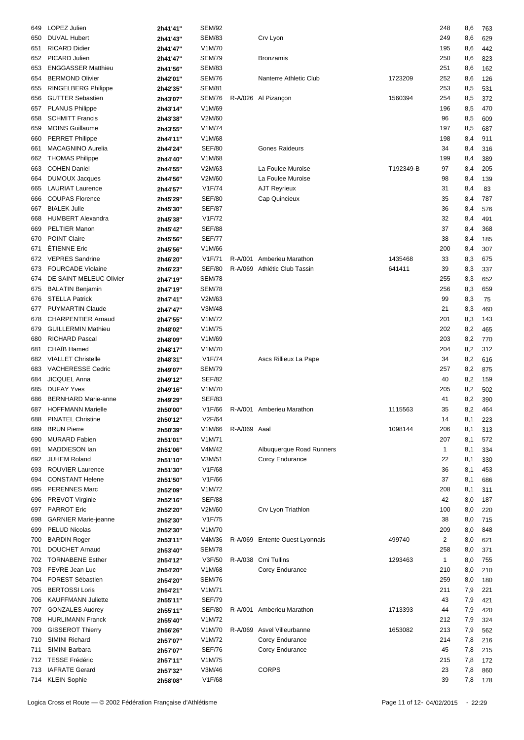| 649 | LOPEZ Julien                | 2h41'41" | <b>SEM/92</b> |              |                                |           | 248            | 8,6 | 763 |
|-----|-----------------------------|----------|---------------|--------------|--------------------------------|-----------|----------------|-----|-----|
| 650 | <b>DUVAL Hubert</b>         | 2h41'43" | <b>SEM/83</b> |              | Crv Lyon                       |           | 249            | 8,6 | 629 |
|     |                             |          |               |              |                                |           |                |     |     |
| 651 | <b>RICARD Didier</b>        | 2h41'47" | V1M/70        |              |                                |           | 195            | 8,6 | 442 |
| 652 | PICARD Julien               | 2h41'47" | <b>SEM/79</b> |              | <b>Bronzamis</b>               |           | 250            | 8,6 | 823 |
| 653 | <b>ENGGASSER Matthieu</b>   | 2h41'56" | <b>SEM/83</b> |              |                                |           | 251            | 8,6 | 162 |
| 654 | <b>BERMOND Olivier</b>      | 2h42'01" | <b>SEM/76</b> |              | Nanterre Athletic Club         | 1723209   | 252            | 8,6 | 126 |
| 655 | <b>RINGELBERG Philippe</b>  | 2h42'35" | <b>SEM/81</b> |              |                                |           | 253            | 8,5 | 531 |
| 656 | <b>GUTTER Sebastien</b>     | 2h43'07" | <b>SEM/76</b> |              | R-A/026 Al Pizançon            | 1560394   | 254            | 8,5 | 372 |
| 657 | <b>PLANUS Philippe</b>      | 2h43'14" | V1M/69        |              |                                |           | 196            | 8,5 | 470 |
| 658 | <b>SCHMITT Francis</b>      | 2h43'38" | V2M/60        |              |                                |           | 96             | 8,5 | 609 |
| 659 | <b>MOINS Guillaume</b>      |          | V1M/74        |              |                                |           | 197            |     |     |
|     |                             | 2h43'55" |               |              |                                |           |                | 8,5 | 687 |
| 660 | <b>PERRET Philippe</b>      | 2h44'11" | V1M/68        |              |                                |           | 198            | 8,4 | 911 |
| 661 | <b>MACAGNINO Aurelia</b>    | 2h44'24" | <b>SEF/80</b> |              | <b>Gones Raideurs</b>          |           | 34             | 8,4 | 316 |
| 662 | <b>THOMAS Philippe</b>      | 2h44'40" | V1M/68        |              |                                |           | 199            | 8,4 | 389 |
| 663 | <b>COHEN Daniel</b>         | 2h44'55" | V2M/63        |              | La Foulee Muroise              | T192349-B | 97             | 8,4 | 205 |
| 664 | <b>DUMOUX Jacques</b>       | 2h44'56" | V2M/60        |              | La Foulee Muroise              |           | 98             | 8,4 | 139 |
| 665 | <b>LAURIAT Laurence</b>     | 2h44'57" | V1F/74        |              | <b>AJT Reyrieux</b>            |           | 31             | 8,4 | 83  |
| 666 | <b>COUPAS Florence</b>      | 2h45'29" | <b>SEF/80</b> |              | Cap Quincieux                  |           | 35             | 8,4 | 787 |
| 667 | <b>BIALEK Julie</b>         | 2h45'30" | <b>SEF/87</b> |              |                                |           | 36             | 8,4 | 576 |
| 668 | <b>HUMBERT Alexandra</b>    | 2h45'38" | V1F/72        |              |                                |           | 32             | 8,4 | 491 |
|     | PELTIER Manon               |          | <b>SEF/88</b> |              |                                |           | 37             |     |     |
| 669 |                             | 2h45'42" |               |              |                                |           |                | 8,4 | 368 |
| 670 | <b>POINT Claire</b>         | 2h45'56" | <b>SEF/77</b> |              |                                |           | 38             | 8,4 | 185 |
| 671 | ÉTIENNE Eric                | 2h45'56" | V1M/66        |              |                                |           | 200            | 8,4 | 307 |
| 672 | <b>VEPRES</b> Sandrine      | 2h46'20" | V1F/71        |              | R-A/001 Amberieu Marathon      | 1435468   | 33             | 8,3 | 675 |
| 673 | <b>FOURCADE Violaine</b>    | 2h46'23" | <b>SEF/80</b> |              | R-A/069 Athlétic Club Tassin   | 641411    | 39             | 8,3 | 337 |
| 674 | DE SAINT MELEUC Olivier     | 2h47'19" | <b>SEM/78</b> |              |                                |           | 255            | 8,3 | 652 |
| 675 | <b>BALATIN Benjamin</b>     | 2h47'19" | <b>SEM/78</b> |              |                                |           | 256            | 8,3 | 659 |
| 676 | <b>STELLA Patrick</b>       | 2h47'41" | V2M/63        |              |                                |           | 99             | 8,3 | 75  |
| 677 | <b>PUYMARTIN Claude</b>     | 2h47'47" | V3M/48        |              |                                |           | 21             | 8,3 | 460 |
| 678 | <b>CHARPENTIER Arnaud</b>   |          | V1M/72        |              |                                |           | 201            | 8,3 |     |
|     |                             | 2h47'55" |               |              |                                |           |                |     | 143 |
| 679 | <b>GUILLERMIN Mathieu</b>   | 2h48'02" | V1M/75        |              |                                |           | 202            | 8,2 | 465 |
| 680 | <b>RICHARD Pascal</b>       | 2h48'09" | V1M/69        |              |                                |           | 203            | 8,2 | 770 |
| 681 | CHAÏB Hamed                 | 2h48'17" | V1M/70        |              |                                |           | 204            | 8,2 | 312 |
| 682 | <b>VIALLET Christelle</b>   | 2h48'31" | V1F/74        |              | Ascs Rillieux La Pape          |           | 34             | 8,2 | 616 |
| 683 | VACHERESSE Cedric           | 2h49'07" | <b>SEM/79</b> |              |                                |           | 257            | 8,2 | 875 |
| 684 | <b>JICQUEL Anna</b>         | 2h49'12" | <b>SEF/82</b> |              |                                |           | 40             | 8,2 | 159 |
| 685 | <b>DUFAY Yves</b>           | 2h49'16" | V1M/70        |              |                                |           | 205            | 8,2 | 502 |
| 686 | <b>BERNHARD Marie-anne</b>  | 2h49'29" | <b>SEF/83</b> |              |                                |           | 41             | 8,2 | 390 |
| 687 | <b>HOFFMANN Marielle</b>    |          | V1F/66        |              | R-A/001 Amberieu Marathon      | 1115563   | 35             | 8,2 | 464 |
|     |                             | 2h50'00" |               |              |                                |           |                |     |     |
| 688 | <b>PINATEL Christine</b>    | 2h50'12" | V2F/64        |              |                                |           | 14             | 8,1 | 223 |
| 689 | <b>BRUN Pierre</b>          | 2h50'39" | V1M/66        | R-A/069 Aaal |                                | 1098144   | 206            | 8,1 | 313 |
| 690 | <b>MURARD Fabien</b>        | 2h51'01" | V1M/71        |              |                                |           | 207            | 8,1 | 572 |
| 691 | <b>MADDIESON Ian</b>        | 2h51'06" | V4M/42        |              | Albuquerque Road Runners       |           | $\mathbf{1}$   | 8,1 | 334 |
| 692 | <b>JUHEM Roland</b>         | 2h51'10" | V3M/51        |              | Corcy Endurance                |           | 22             | 8,1 | 330 |
| 693 | ROUVIER Laurence            | 2h51'30" | V1F/68        |              |                                |           | 36             | 8,1 | 453 |
| 694 | <b>CONSTANT Helene</b>      | 2h51'50" | V1F/66        |              |                                |           | 37             | 8,1 | 686 |
| 695 | <b>PERENNES Marc</b>        | 2h52'09" | V1M/72        |              |                                |           | 208            | 8,1 | 311 |
| 696 | PREVOT Virginie             |          | <b>SEF/88</b> |              |                                |           | 42             | 8,0 | 187 |
|     |                             | 2h52'16" |               |              |                                |           |                |     |     |
| 697 | <b>PARROT Eric</b>          | 2h52'20" | V2M/60        |              | Crv Lyon Triathlon             |           | 100            | 8,0 | 220 |
| 698 | <b>GARNIER Marie-jeanne</b> | 2h52'30" | V1F/75        |              |                                |           | 38             | 8,0 | 715 |
| 699 | PELUD Nicolas               | 2h52'30" | V1M/70        |              |                                |           | 209            | 8,0 | 848 |
| 700 | <b>BARDIN Roger</b>         | 2h53'11" | V4M/36        |              | R-A/069 Entente Ouest Lyonnais | 499740    | $\overline{2}$ | 8,0 | 621 |
| 701 | <b>DOUCHET Arnaud</b>       | 2h53'40" | <b>SEM/78</b> |              |                                |           | 258            | 8,0 | 371 |
| 702 | <b>TORNABENE Esther</b>     | 2h54'12" | V3F/50        |              | R-A/038 Cmi Tullins            | 1293463   | $\mathbf{1}$   | 8,0 | 755 |
| 703 | FEVRE Jean Luc              | 2h54'20" | V1M/68        |              | Corcy Endurance                |           | 210            | 8,0 | 210 |
| 704 | FOREST Sébastien            | 2h54'20" | <b>SEM/76</b> |              |                                |           | 259            | 8,0 | 180 |
| 705 | <b>BERTOSSI Loris</b>       |          | V1M/71        |              |                                |           | 211            | 7,9 | 221 |
|     |                             | 2h54'21" |               |              |                                |           |                |     |     |
| 706 | <b>KAUFFMANN Juliette</b>   | 2h55'11" | SEF/79        |              |                                |           | 43             | 7,9 | 421 |
| 707 | <b>GONZALES Audrey</b>      | 2h55'11" | SEF/80        |              | R-A/001 Amberieu Marathon      | 1713393   | 44             | 7,9 | 420 |
| 708 | <b>HURLIMANN Franck</b>     | 2h55'40" | V1M/72        |              |                                |           | 212            | 7,9 | 324 |
| 709 | <b>GISSEROT Thierry</b>     | 2h56'26" | V1M/70        | R-A/069      | Asvel Villeurbanne             | 1653082   | 213            | 7,9 | 562 |
| 710 | SIMINI Richard              | 2h57'07" | V1M/72        |              | Corcy Endurance                |           | 214            | 7,8 | 216 |
| 711 | SIMINI Barbara              | 2h57'07" | <b>SEF/76</b> |              | Corcy Endurance                |           | 45             | 7,8 | 215 |
| 712 | <b>TESSE Frédéric</b>       | 2h57'11" | V1M/75        |              |                                |           | 215            | 7,8 | 172 |
| 713 | <b>IAFRATE Gerard</b>       | 2h57'32" | V3M/46        |              | <b>CORPS</b>                   |           | 23             | 7,8 | 860 |
|     | 714 KLEIN Sophie            | 2h58'08" | V1F/68        |              |                                |           | 39             | 7,8 | 178 |
|     |                             |          |               |              |                                |           |                |     |     |